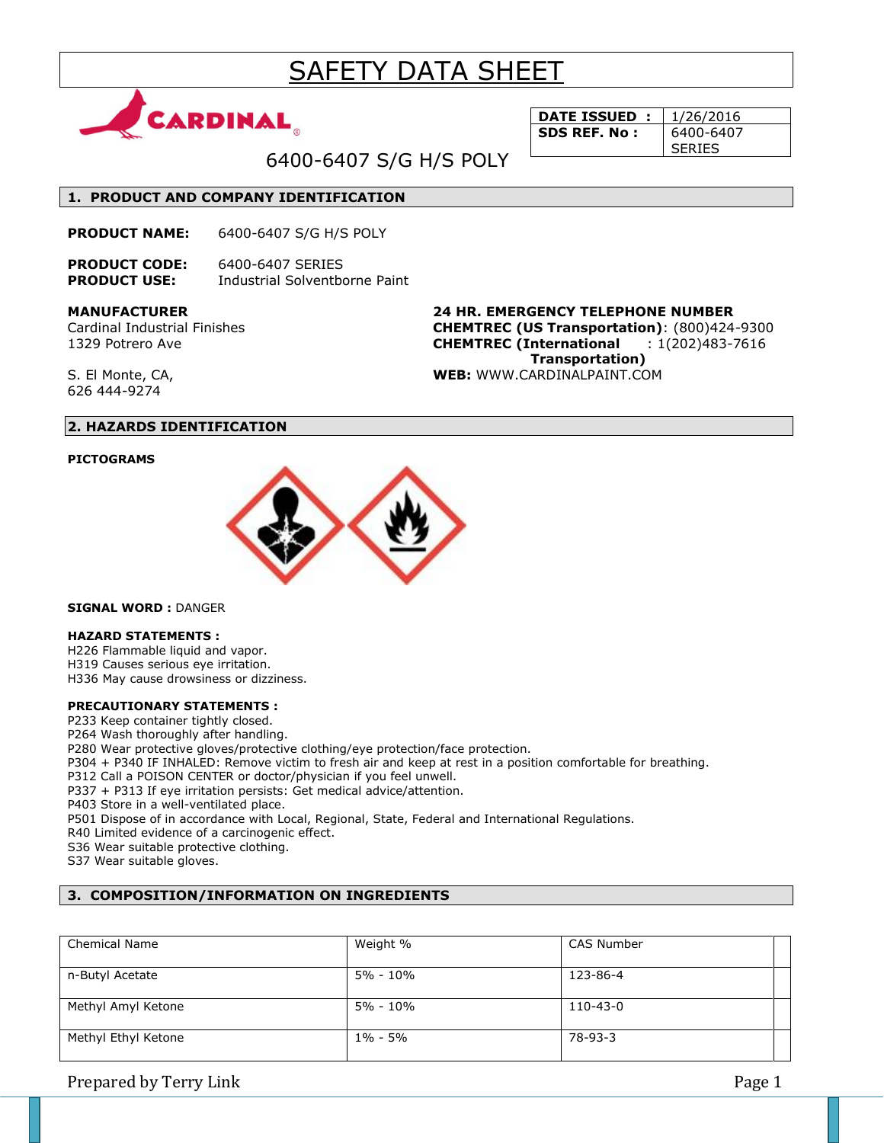# SAFETY DATA SHEET



**DATE ISSUED :** 1/26/2016 **SDS REF. No:** 6400-6407 SERIES

6400-6407 S/G H/S POLY

### **1. PRODUCT AND COMPANY IDENTIFICATION**

**PRODUCT NAME:** 6400-6407 S/G H/S POLY

**PRODUCT CODE:** 6400-6407 SERIES **PRODUCT USE:** Industrial Solventborne Paint

**MANUFACTURER**

Cardinal Industrial Finishes 1329 Potrero Ave

**24 HR. EMERGENCY TELEPHONE NUMBER CHEMTREC (US Transportation)**: (800)424-9300 **CHEMTREC (International** : 1(202)483-7616  **Transportation) WEB:** WWW.CARDINALPAINT.COM

S. El Monte, CA, 626 444-9274

# **2. HAZARDS IDENTIFICATION**

### **PICTOGRAMS**



**SIGNAL WORD :** DANGER

### **HAZARD STATEMENTS :**

H226 Flammable liquid and vapor. H319 Causes serious eye irritation.

H336 May cause drowsiness or dizziness.

### **PRECAUTIONARY STATEMENTS :**

P233 Keep container tightly closed.

P264 Wash thoroughly after handling.

P280 Wear protective gloves/protective clothing/eye protection/face protection.

P304 + P340 IF INHALED: Remove victim to fresh air and keep at rest in a position comfortable for breathing.

P312 Call a POISON CENTER or doctor/physician if you feel unwell.

P337 + P313 If eye irritation persists: Get medical advice/attention.

P403 Store in a well-ventilated place.

P501 Dispose of in accordance with Local, Regional, State, Federal and International Regulations.

R40 Limited evidence of a carcinogenic effect.

S36 Wear suitable protective clothing.

S37 Wear suitable gloves.

### **3. COMPOSITION/INFORMATION ON INGREDIENTS**

| <b>Chemical Name</b> | Weight %    | <b>CAS Number</b> |  |
|----------------------|-------------|-------------------|--|
| n-Butyl Acetate      | 5% - 10%    | 123-86-4          |  |
| Methyl Amyl Ketone   | 5% - 10%    | 110-43-0          |  |
| Methyl Ethyl Ketone  | $1\% - 5\%$ | 78-93-3           |  |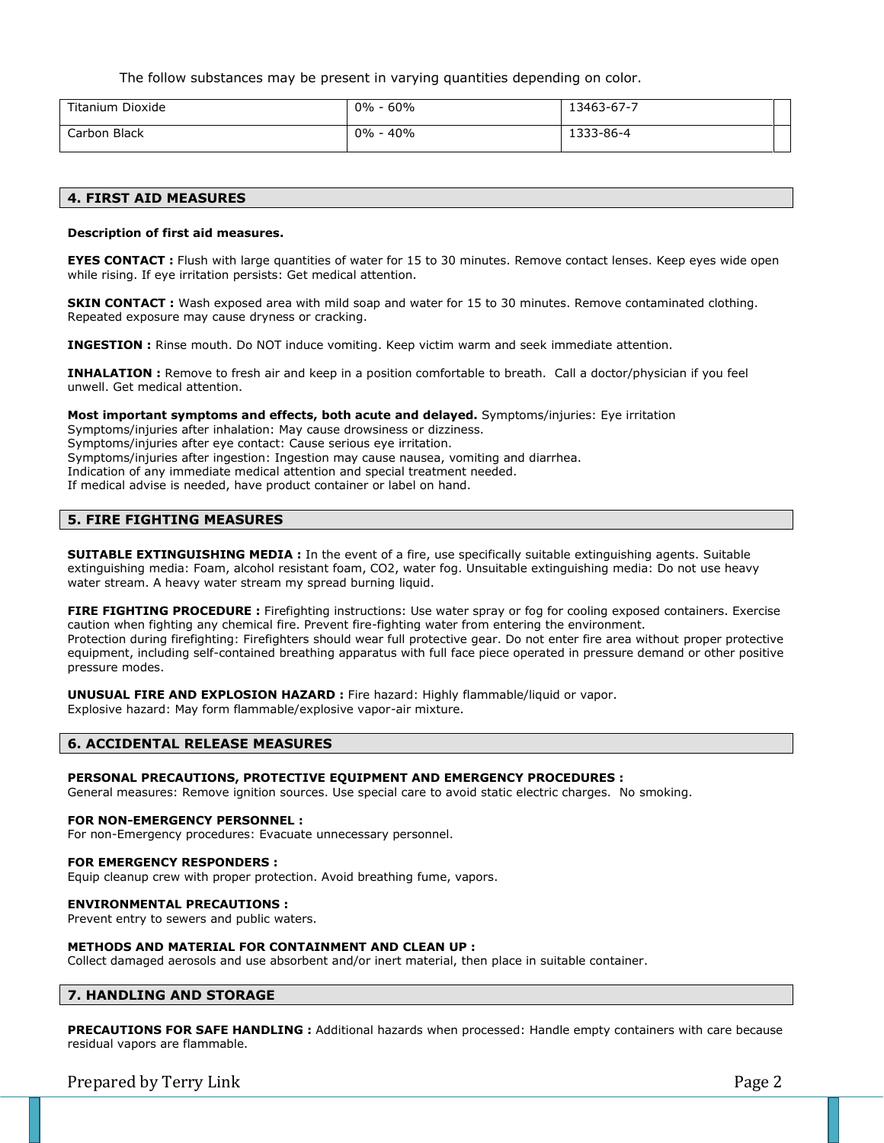The follow substances may be present in varying quantities depending on color.

| Titanium Dioxide | $0\%$<br>60% | 13463-67-7 |  |
|------------------|--------------|------------|--|
| Carbon Black     | 40%<br>$0\%$ | 1333-86-4  |  |

### **4. FIRST AID MEASURES**

### **Description of first aid measures.**

**EYES CONTACT** : Flush with large quantities of water for 15 to 30 minutes. Remove contact lenses. Keep eyes wide open while rising. If eye irritation persists: Get medical attention.

**SKIN CONTACT :** Wash exposed area with mild soap and water for 15 to 30 minutes. Remove contaminated clothing. Repeated exposure may cause dryness or cracking.

**INGESTION :** Rinse mouth. Do NOT induce vomiting. Keep victim warm and seek immediate attention.

**INHALATION :** Remove to fresh air and keep in a position comfortable to breath. Call a doctor/physician if you feel unwell. Get medical attention.

**Most important symptoms and effects, both acute and delayed.** Symptoms/injuries: Eye irritation Symptoms/injuries after inhalation: May cause drowsiness or dizziness. Symptoms/injuries after eye contact: Cause serious eye irritation. Symptoms/injuries after ingestion: Ingestion may cause nausea, vomiting and diarrhea. Indication of any immediate medical attention and special treatment needed. If medical advise is needed, have product container or label on hand.

# **5. FIRE FIGHTING MEASURES**

**SUITABLE EXTINGUISHING MEDIA :** In the event of a fire, use specifically suitable extinguishing agents. Suitable extinguishing media: Foam, alcohol resistant foam, CO2, water fog. Unsuitable extinguishing media: Do not use heavy water stream. A heavy water stream my spread burning liquid.

**FIRE FIGHTING PROCEDURE :** Firefighting instructions: Use water spray or fog for cooling exposed containers. Exercise caution when fighting any chemical fire. Prevent fire-fighting water from entering the environment. Protection during firefighting: Firefighters should wear full protective gear. Do not enter fire area without proper protective equipment, including self-contained breathing apparatus with full face piece operated in pressure demand or other positive pressure modes.

**UNUSUAL FIRE AND EXPLOSION HAZARD :** Fire hazard: Highly flammable/liquid or vapor. Explosive hazard: May form flammable/explosive vapor-air mixture.

### **6. ACCIDENTAL RELEASE MEASURES**

### **PERSONAL PRECAUTIONS, PROTECTIVE EQUIPMENT AND EMERGENCY PROCEDURES :**

General measures: Remove ignition sources. Use special care to avoid static electric charges. No smoking.

### **FOR NON-EMERGENCY PERSONNEL :**

For non-Emergency procedures: Evacuate unnecessary personnel.

#### **FOR EMERGENCY RESPONDERS :**

Equip cleanup crew with proper protection. Avoid breathing fume, vapors.

### **ENVIRONMENTAL PRECAUTIONS :**

Prevent entry to sewers and public waters.

### **METHODS AND MATERIAL FOR CONTAINMENT AND CLEAN UP :**

Collect damaged aerosols and use absorbent and/or inert material, then place in suitable container.

### **7. HANDLING AND STORAGE**

**PRECAUTIONS FOR SAFE HANDLING :** Additional hazards when processed: Handle empty containers with care because residual vapors are flammable.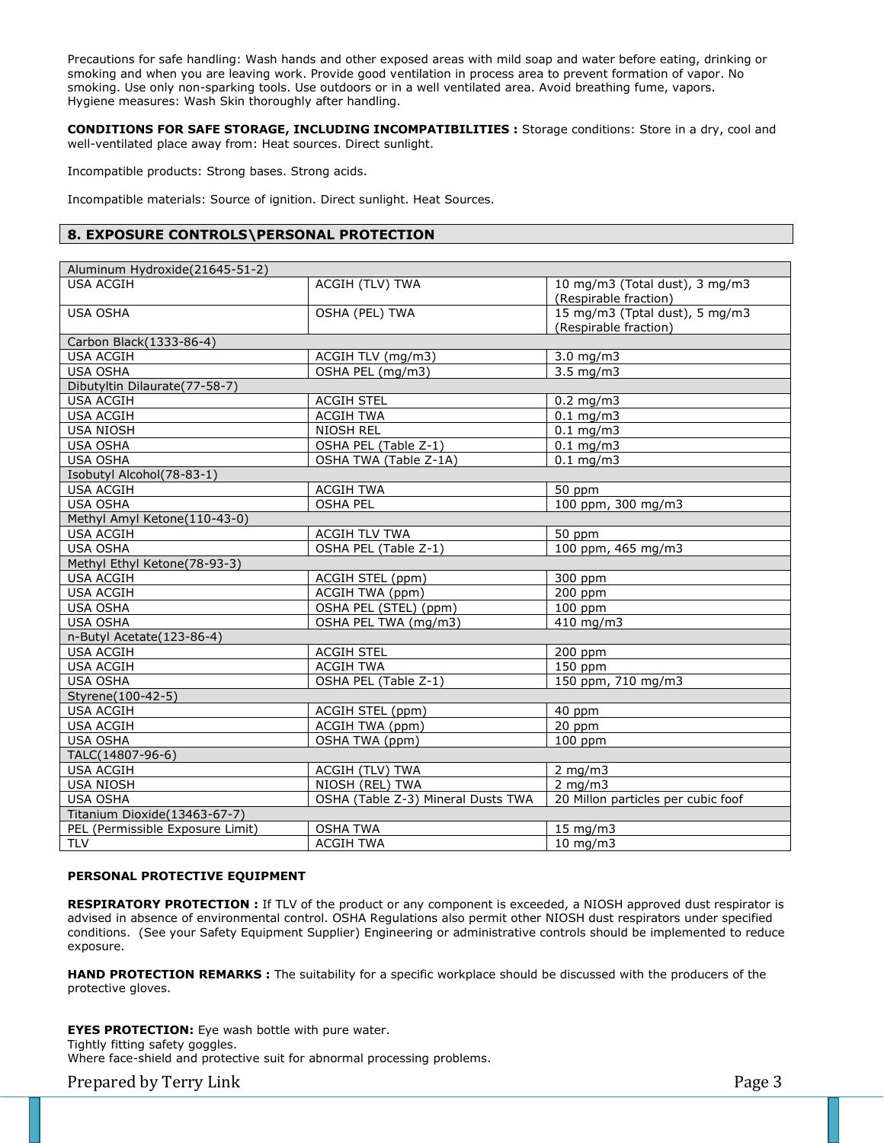Precautions for safe handling: Wash hands and other exposed areas with mild soap and water before eating, drinking or smoking and when you are leaving work. Provide good ventilation in process area to prevent formation of vapor. No smoking. Use only non-sparking tools. Use outdoors or in a well ventilated area. Avoid breathing fume, vapors. Hygiene measures: Wash Skin thoroughly after handling.

**CONDITIONS FOR SAFE STORAGE, INCLUDING INCOMPATIBILITIES :** Storage conditions: Store in a dry, cool and well-ventilated place away from: Heat sources. Direct sunlight.

Incompatible products: Strong bases. Strong acids.

Incompatible materials: Source of ignition. Direct sunlight. Heat Sources.

### **8. EXPOSURE CONTROLS\PERSONAL PROTECTION**

| <b>USA ACGIH</b><br><b>ACGIH (TLV) TWA</b><br>10 mg/m3 (Total dust), 3 mg/m3<br>(Respirable fraction)<br>15 mg/m3 (Tptal dust), 5 mg/m3<br>OSHA (PEL) TWA<br><b>USA OSHA</b><br>(Respirable fraction)<br>Carbon Black(1333-86-4)<br><b>USA ACGIH</b><br>ACGIH TLV (mg/m3)<br>$3.0$ mg/m $3$<br>OSHA PEL (mg/m3)<br>$3.5 \text{ mg/m}$<br><b>USA OSHA</b><br>Dibutyltin Dilaurate(77-58-7)<br><b>USA ACGIH</b><br><b>ACGIH STEL</b><br>$0.2$ mg/m3<br><b>USA ACGIH</b><br><b>ACGIH TWA</b><br>$0.1$ mg/m3<br><b>USA NIOSH</b><br><b>NIOSH REL</b><br>$0.1$ mg/m3<br>OSHA PEL (Table Z-1)<br><b>USA OSHA</b><br>$0.1$ mg/m3<br><b>USA OSHA</b><br>OSHA TWA (Table Z-1A)<br>$0.1$ mg/m3<br>Isobutyl Alcohol(78-83-1)<br><b>USA ACGIH</b><br><b>ACGIH TWA</b><br>50 ppm<br>100 ppm, 300 mg/m3<br><b>USA OSHA</b><br><b>OSHA PEL</b><br>Methyl Amyl Ketone(110-43-0)<br><b>USA ACGIH</b><br><b>ACGIH TLV TWA</b><br>50 ppm<br>100 ppm, 465 mg/m3<br><b>USA OSHA</b><br>OSHA PEL (Table Z-1)<br>Methyl Ethyl Ketone(78-93-3)<br><b>USA ACGIH</b><br>300 ppm<br>ACGIH STEL (ppm)<br><b>USA ACGIH</b><br>$200$ ppm<br>ACGIH TWA (ppm)<br><b>USA OSHA</b><br>OSHA PEL (STEL) (ppm)<br>100 ppm<br>410 mg/m3<br><b>USA OSHA</b><br>OSHA PEL TWA (mg/m3)<br>n-Butyl Acetate(123-86-4)<br><b>USA ACGIH</b><br><b>ACGIH STEL</b><br>200 ppm<br>150 ppm<br><b>USA ACGIH</b><br><b>ACGIH TWA</b><br>150 ppm, 710 mg/m3<br>OSHA PEL (Table Z-1)<br><b>USA OSHA</b><br>Styrene(100-42-5)<br><b>USA ACGIH</b><br>ACGIH STEL (ppm)<br>40 ppm<br>20 ppm<br>ACGIH TWA (ppm)<br><b>USA ACGIH</b><br><b>USA OSHA</b><br>OSHA TWA (ppm)<br>100 ppm<br>TALC(14807-96-6)<br><b>USA ACGIH</b><br>ACGIH (TLV) TWA<br>2 mg/m $3$<br>2 mg/m $3$<br><b>USA NIOSH</b><br>NIOSH (REL) TWA<br>OSHA (Table Z-3) Mineral Dusts TWA<br>20 Millon particles per cubic foof<br><b>USA OSHA</b><br>Titanium Dioxide(13463-67-7)<br>PEL (Permissible Exposure Limit)<br><b>OSHA TWA</b><br>15 mg/m3<br><b>TLV</b><br><b>ACGIH TWA</b> | Aluminum Hydroxide(21645-51-2) |          |
|---------------------------------------------------------------------------------------------------------------------------------------------------------------------------------------------------------------------------------------------------------------------------------------------------------------------------------------------------------------------------------------------------------------------------------------------------------------------------------------------------------------------------------------------------------------------------------------------------------------------------------------------------------------------------------------------------------------------------------------------------------------------------------------------------------------------------------------------------------------------------------------------------------------------------------------------------------------------------------------------------------------------------------------------------------------------------------------------------------------------------------------------------------------------------------------------------------------------------------------------------------------------------------------------------------------------------------------------------------------------------------------------------------------------------------------------------------------------------------------------------------------------------------------------------------------------------------------------------------------------------------------------------------------------------------------------------------------------------------------------------------------------------------------------------------------------------------------------------------------------------------------------------------------------------------------------------------------------------------------------|--------------------------------|----------|
|                                                                                                                                                                                                                                                                                                                                                                                                                                                                                                                                                                                                                                                                                                                                                                                                                                                                                                                                                                                                                                                                                                                                                                                                                                                                                                                                                                                                                                                                                                                                                                                                                                                                                                                                                                                                                                                                                                                                                                                             |                                |          |
|                                                                                                                                                                                                                                                                                                                                                                                                                                                                                                                                                                                                                                                                                                                                                                                                                                                                                                                                                                                                                                                                                                                                                                                                                                                                                                                                                                                                                                                                                                                                                                                                                                                                                                                                                                                                                                                                                                                                                                                             |                                |          |
|                                                                                                                                                                                                                                                                                                                                                                                                                                                                                                                                                                                                                                                                                                                                                                                                                                                                                                                                                                                                                                                                                                                                                                                                                                                                                                                                                                                                                                                                                                                                                                                                                                                                                                                                                                                                                                                                                                                                                                                             |                                |          |
|                                                                                                                                                                                                                                                                                                                                                                                                                                                                                                                                                                                                                                                                                                                                                                                                                                                                                                                                                                                                                                                                                                                                                                                                                                                                                                                                                                                                                                                                                                                                                                                                                                                                                                                                                                                                                                                                                                                                                                                             |                                |          |
|                                                                                                                                                                                                                                                                                                                                                                                                                                                                                                                                                                                                                                                                                                                                                                                                                                                                                                                                                                                                                                                                                                                                                                                                                                                                                                                                                                                                                                                                                                                                                                                                                                                                                                                                                                                                                                                                                                                                                                                             |                                |          |
|                                                                                                                                                                                                                                                                                                                                                                                                                                                                                                                                                                                                                                                                                                                                                                                                                                                                                                                                                                                                                                                                                                                                                                                                                                                                                                                                                                                                                                                                                                                                                                                                                                                                                                                                                                                                                                                                                                                                                                                             |                                |          |
|                                                                                                                                                                                                                                                                                                                                                                                                                                                                                                                                                                                                                                                                                                                                                                                                                                                                                                                                                                                                                                                                                                                                                                                                                                                                                                                                                                                                                                                                                                                                                                                                                                                                                                                                                                                                                                                                                                                                                                                             |                                |          |
|                                                                                                                                                                                                                                                                                                                                                                                                                                                                                                                                                                                                                                                                                                                                                                                                                                                                                                                                                                                                                                                                                                                                                                                                                                                                                                                                                                                                                                                                                                                                                                                                                                                                                                                                                                                                                                                                                                                                                                                             |                                |          |
|                                                                                                                                                                                                                                                                                                                                                                                                                                                                                                                                                                                                                                                                                                                                                                                                                                                                                                                                                                                                                                                                                                                                                                                                                                                                                                                                                                                                                                                                                                                                                                                                                                                                                                                                                                                                                                                                                                                                                                                             |                                |          |
|                                                                                                                                                                                                                                                                                                                                                                                                                                                                                                                                                                                                                                                                                                                                                                                                                                                                                                                                                                                                                                                                                                                                                                                                                                                                                                                                                                                                                                                                                                                                                                                                                                                                                                                                                                                                                                                                                                                                                                                             |                                |          |
|                                                                                                                                                                                                                                                                                                                                                                                                                                                                                                                                                                                                                                                                                                                                                                                                                                                                                                                                                                                                                                                                                                                                                                                                                                                                                                                                                                                                                                                                                                                                                                                                                                                                                                                                                                                                                                                                                                                                                                                             |                                |          |
|                                                                                                                                                                                                                                                                                                                                                                                                                                                                                                                                                                                                                                                                                                                                                                                                                                                                                                                                                                                                                                                                                                                                                                                                                                                                                                                                                                                                                                                                                                                                                                                                                                                                                                                                                                                                                                                                                                                                                                                             |                                |          |
|                                                                                                                                                                                                                                                                                                                                                                                                                                                                                                                                                                                                                                                                                                                                                                                                                                                                                                                                                                                                                                                                                                                                                                                                                                                                                                                                                                                                                                                                                                                                                                                                                                                                                                                                                                                                                                                                                                                                                                                             |                                |          |
|                                                                                                                                                                                                                                                                                                                                                                                                                                                                                                                                                                                                                                                                                                                                                                                                                                                                                                                                                                                                                                                                                                                                                                                                                                                                                                                                                                                                                                                                                                                                                                                                                                                                                                                                                                                                                                                                                                                                                                                             |                                |          |
|                                                                                                                                                                                                                                                                                                                                                                                                                                                                                                                                                                                                                                                                                                                                                                                                                                                                                                                                                                                                                                                                                                                                                                                                                                                                                                                                                                                                                                                                                                                                                                                                                                                                                                                                                                                                                                                                                                                                                                                             |                                |          |
|                                                                                                                                                                                                                                                                                                                                                                                                                                                                                                                                                                                                                                                                                                                                                                                                                                                                                                                                                                                                                                                                                                                                                                                                                                                                                                                                                                                                                                                                                                                                                                                                                                                                                                                                                                                                                                                                                                                                                                                             |                                |          |
|                                                                                                                                                                                                                                                                                                                                                                                                                                                                                                                                                                                                                                                                                                                                                                                                                                                                                                                                                                                                                                                                                                                                                                                                                                                                                                                                                                                                                                                                                                                                                                                                                                                                                                                                                                                                                                                                                                                                                                                             |                                |          |
|                                                                                                                                                                                                                                                                                                                                                                                                                                                                                                                                                                                                                                                                                                                                                                                                                                                                                                                                                                                                                                                                                                                                                                                                                                                                                                                                                                                                                                                                                                                                                                                                                                                                                                                                                                                                                                                                                                                                                                                             |                                |          |
|                                                                                                                                                                                                                                                                                                                                                                                                                                                                                                                                                                                                                                                                                                                                                                                                                                                                                                                                                                                                                                                                                                                                                                                                                                                                                                                                                                                                                                                                                                                                                                                                                                                                                                                                                                                                                                                                                                                                                                                             |                                |          |
|                                                                                                                                                                                                                                                                                                                                                                                                                                                                                                                                                                                                                                                                                                                                                                                                                                                                                                                                                                                                                                                                                                                                                                                                                                                                                                                                                                                                                                                                                                                                                                                                                                                                                                                                                                                                                                                                                                                                                                                             |                                |          |
|                                                                                                                                                                                                                                                                                                                                                                                                                                                                                                                                                                                                                                                                                                                                                                                                                                                                                                                                                                                                                                                                                                                                                                                                                                                                                                                                                                                                                                                                                                                                                                                                                                                                                                                                                                                                                                                                                                                                                                                             |                                |          |
|                                                                                                                                                                                                                                                                                                                                                                                                                                                                                                                                                                                                                                                                                                                                                                                                                                                                                                                                                                                                                                                                                                                                                                                                                                                                                                                                                                                                                                                                                                                                                                                                                                                                                                                                                                                                                                                                                                                                                                                             |                                |          |
|                                                                                                                                                                                                                                                                                                                                                                                                                                                                                                                                                                                                                                                                                                                                                                                                                                                                                                                                                                                                                                                                                                                                                                                                                                                                                                                                                                                                                                                                                                                                                                                                                                                                                                                                                                                                                                                                                                                                                                                             |                                |          |
|                                                                                                                                                                                                                                                                                                                                                                                                                                                                                                                                                                                                                                                                                                                                                                                                                                                                                                                                                                                                                                                                                                                                                                                                                                                                                                                                                                                                                                                                                                                                                                                                                                                                                                                                                                                                                                                                                                                                                                                             |                                |          |
|                                                                                                                                                                                                                                                                                                                                                                                                                                                                                                                                                                                                                                                                                                                                                                                                                                                                                                                                                                                                                                                                                                                                                                                                                                                                                                                                                                                                                                                                                                                                                                                                                                                                                                                                                                                                                                                                                                                                                                                             |                                |          |
|                                                                                                                                                                                                                                                                                                                                                                                                                                                                                                                                                                                                                                                                                                                                                                                                                                                                                                                                                                                                                                                                                                                                                                                                                                                                                                                                                                                                                                                                                                                                                                                                                                                                                                                                                                                                                                                                                                                                                                                             |                                |          |
|                                                                                                                                                                                                                                                                                                                                                                                                                                                                                                                                                                                                                                                                                                                                                                                                                                                                                                                                                                                                                                                                                                                                                                                                                                                                                                                                                                                                                                                                                                                                                                                                                                                                                                                                                                                                                                                                                                                                                                                             |                                |          |
|                                                                                                                                                                                                                                                                                                                                                                                                                                                                                                                                                                                                                                                                                                                                                                                                                                                                                                                                                                                                                                                                                                                                                                                                                                                                                                                                                                                                                                                                                                                                                                                                                                                                                                                                                                                                                                                                                                                                                                                             |                                |          |
|                                                                                                                                                                                                                                                                                                                                                                                                                                                                                                                                                                                                                                                                                                                                                                                                                                                                                                                                                                                                                                                                                                                                                                                                                                                                                                                                                                                                                                                                                                                                                                                                                                                                                                                                                                                                                                                                                                                                                                                             |                                |          |
|                                                                                                                                                                                                                                                                                                                                                                                                                                                                                                                                                                                                                                                                                                                                                                                                                                                                                                                                                                                                                                                                                                                                                                                                                                                                                                                                                                                                                                                                                                                                                                                                                                                                                                                                                                                                                                                                                                                                                                                             |                                |          |
|                                                                                                                                                                                                                                                                                                                                                                                                                                                                                                                                                                                                                                                                                                                                                                                                                                                                                                                                                                                                                                                                                                                                                                                                                                                                                                                                                                                                                                                                                                                                                                                                                                                                                                                                                                                                                                                                                                                                                                                             |                                |          |
|                                                                                                                                                                                                                                                                                                                                                                                                                                                                                                                                                                                                                                                                                                                                                                                                                                                                                                                                                                                                                                                                                                                                                                                                                                                                                                                                                                                                                                                                                                                                                                                                                                                                                                                                                                                                                                                                                                                                                                                             |                                |          |
|                                                                                                                                                                                                                                                                                                                                                                                                                                                                                                                                                                                                                                                                                                                                                                                                                                                                                                                                                                                                                                                                                                                                                                                                                                                                                                                                                                                                                                                                                                                                                                                                                                                                                                                                                                                                                                                                                                                                                                                             |                                |          |
|                                                                                                                                                                                                                                                                                                                                                                                                                                                                                                                                                                                                                                                                                                                                                                                                                                                                                                                                                                                                                                                                                                                                                                                                                                                                                                                                                                                                                                                                                                                                                                                                                                                                                                                                                                                                                                                                                                                                                                                             |                                |          |
|                                                                                                                                                                                                                                                                                                                                                                                                                                                                                                                                                                                                                                                                                                                                                                                                                                                                                                                                                                                                                                                                                                                                                                                                                                                                                                                                                                                                                                                                                                                                                                                                                                                                                                                                                                                                                                                                                                                                                                                             |                                |          |
|                                                                                                                                                                                                                                                                                                                                                                                                                                                                                                                                                                                                                                                                                                                                                                                                                                                                                                                                                                                                                                                                                                                                                                                                                                                                                                                                                                                                                                                                                                                                                                                                                                                                                                                                                                                                                                                                                                                                                                                             |                                |          |
|                                                                                                                                                                                                                                                                                                                                                                                                                                                                                                                                                                                                                                                                                                                                                                                                                                                                                                                                                                                                                                                                                                                                                                                                                                                                                                                                                                                                                                                                                                                                                                                                                                                                                                                                                                                                                                                                                                                                                                                             |                                |          |
|                                                                                                                                                                                                                                                                                                                                                                                                                                                                                                                                                                                                                                                                                                                                                                                                                                                                                                                                                                                                                                                                                                                                                                                                                                                                                                                                                                                                                                                                                                                                                                                                                                                                                                                                                                                                                                                                                                                                                                                             |                                |          |
|                                                                                                                                                                                                                                                                                                                                                                                                                                                                                                                                                                                                                                                                                                                                                                                                                                                                                                                                                                                                                                                                                                                                                                                                                                                                                                                                                                                                                                                                                                                                                                                                                                                                                                                                                                                                                                                                                                                                                                                             |                                | 10 mg/m3 |

### **PERSONAL PROTECTIVE EQUIPMENT**

**RESPIRATORY PROTECTION :** If TLV of the product or any component is exceeded, a NIOSH approved dust respirator is advised in absence of environmental control. OSHA Regulations also permit other NIOSH dust respirators under specified conditions. (See your Safety Equipment Supplier) Engineering or administrative controls should be implemented to reduce exposure.

**HAND PROTECTION REMARKS :** The suitability for a specific workplace should be discussed with the producers of the protective gloves.

**EYES PROTECTION:** Eye wash bottle with pure water. Tightly fitting safety goggles. Where face-shield and protective suit for abnormal processing problems.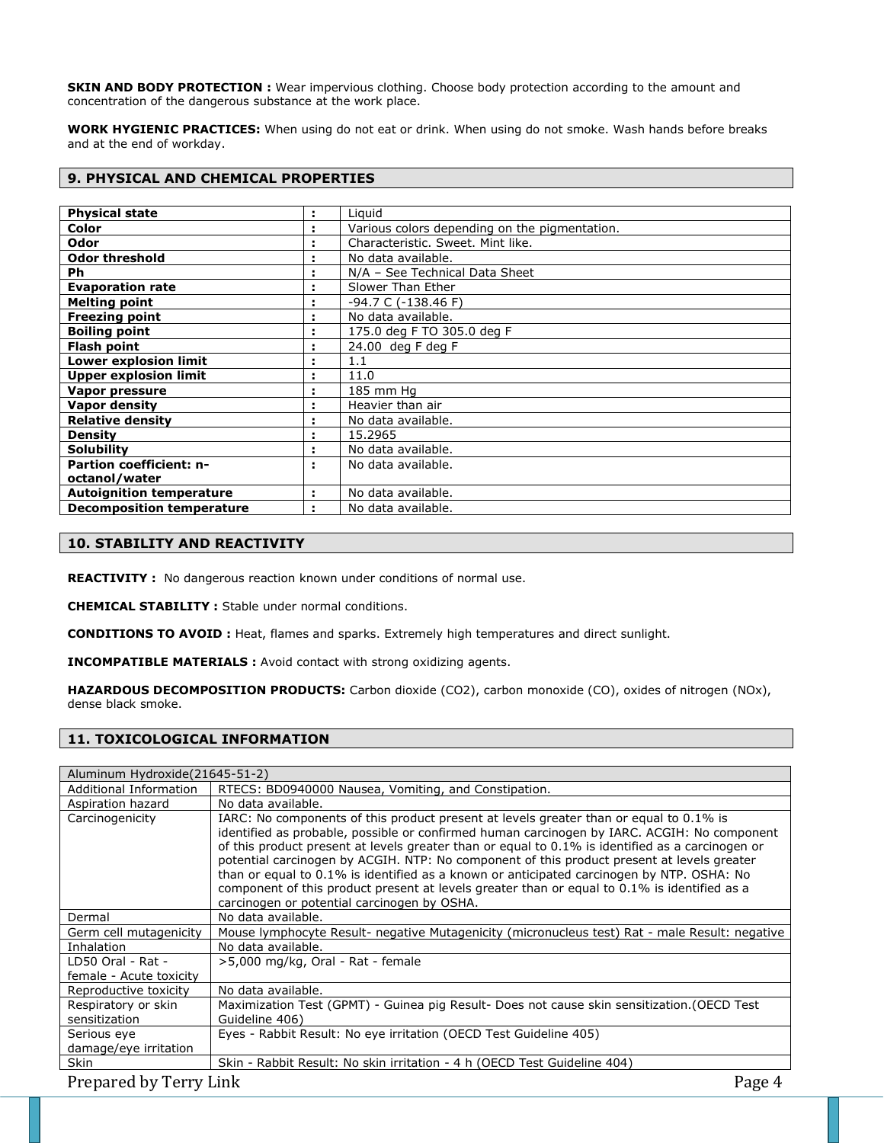**SKIN AND BODY PROTECTION :** Wear impervious clothing. Choose body protection according to the amount and concentration of the dangerous substance at the work place.

**WORK HYGIENIC PRACTICES:** When using do not eat or drink. When using do not smoke. Wash hands before breaks and at the end of workday.

### **9. PHYSICAL AND CHEMICAL PROPERTIES**

| <b>Physical state</b>            | ÷ | Liguid                                        |
|----------------------------------|---|-----------------------------------------------|
| Color                            |   | Various colors depending on the pigmentation. |
| Odor                             | ÷ | Characteristic. Sweet. Mint like.             |
| <b>Odor threshold</b>            |   | No data available.                            |
| <b>Ph</b>                        |   | N/A - See Technical Data Sheet                |
| <b>Evaporation rate</b>          | ٠ | Slower Than Ether                             |
| <b>Melting point</b>             | ÷ | -94.7 C (-138.46 F)                           |
| <b>Freezing point</b>            | ÷ | No data available.                            |
| <b>Boiling point</b>             | ÷ | 175.0 deg F TO 305.0 deg F                    |
| <b>Flash point</b>               | ÷ | 24.00 deg F deg F                             |
| Lower explosion limit            | ÷ | 1.1                                           |
| <b>Upper explosion limit</b>     | ÷ | 11.0                                          |
| Vapor pressure                   | ÷ | 185 mm Hq                                     |
| <b>Vapor density</b>             | ÷ | Heavier than air                              |
| <b>Relative density</b>          | и | No data available.                            |
| <b>Density</b>                   | ÷ | 15.2965                                       |
| <b>Solubility</b>                |   | No data available.                            |
| <b>Partion coefficient: n-</b>   | и | No data available.                            |
| octanol/water                    |   |                                               |
| <b>Autoignition temperature</b>  | ÷ | No data available.                            |
| <b>Decomposition temperature</b> |   | No data available.                            |

# **10. STABILITY AND REACTIVITY**

REACTIVITY : No dangerous reaction known under conditions of normal use.

**CHEMICAL STABILITY :** Stable under normal conditions.

**CONDITIONS TO AVOID :** Heat, flames and sparks. Extremely high temperatures and direct sunlight.

**INCOMPATIBLE MATERIALS :** Avoid contact with strong oxidizing agents.

**HAZARDOUS DECOMPOSITION PRODUCTS:** Carbon dioxide (CO2), carbon monoxide (CO), oxides of nitrogen (NOx), dense black smoke.

# **11. TOXICOLOGICAL INFORMATION**

| Aluminum Hydroxide(21645-51-2) |                                                                                                                                                                                                                                                                                                                                                                                                                                                                                                                                                                                                                                     |  |
|--------------------------------|-------------------------------------------------------------------------------------------------------------------------------------------------------------------------------------------------------------------------------------------------------------------------------------------------------------------------------------------------------------------------------------------------------------------------------------------------------------------------------------------------------------------------------------------------------------------------------------------------------------------------------------|--|
| Additional Information         | RTECS: BD0940000 Nausea, Vomiting, and Constipation.                                                                                                                                                                                                                                                                                                                                                                                                                                                                                                                                                                                |  |
| Aspiration hazard              | No data available.                                                                                                                                                                                                                                                                                                                                                                                                                                                                                                                                                                                                                  |  |
| Carcinogenicity                | IARC: No components of this product present at levels greater than or equal to 0.1% is<br>identified as probable, possible or confirmed human carcinogen by IARC. ACGIH: No component<br>of this product present at levels greater than or equal to 0.1% is identified as a carcinogen or<br>potential carcinogen by ACGIH. NTP: No component of this product present at levels greater<br>than or equal to 0.1% is identified as a known or anticipated carcinogen by NTP. OSHA: No<br>component of this product present at levels greater than or equal to 0.1% is identified as a<br>carcinogen or potential carcinogen by OSHA. |  |
| Dermal                         | No data available.                                                                                                                                                                                                                                                                                                                                                                                                                                                                                                                                                                                                                  |  |
| Germ cell mutagenicity         | Mouse lymphocyte Result- negative Mutagenicity (micronucleus test) Rat - male Result: negative                                                                                                                                                                                                                                                                                                                                                                                                                                                                                                                                      |  |
| Inhalation                     | No data available.                                                                                                                                                                                                                                                                                                                                                                                                                                                                                                                                                                                                                  |  |
| LD50 Oral - Rat -              | >5,000 mg/kg, Oral - Rat - female                                                                                                                                                                                                                                                                                                                                                                                                                                                                                                                                                                                                   |  |
| female - Acute toxicity        |                                                                                                                                                                                                                                                                                                                                                                                                                                                                                                                                                                                                                                     |  |
| Reproductive toxicity          | No data available.                                                                                                                                                                                                                                                                                                                                                                                                                                                                                                                                                                                                                  |  |
| Respiratory or skin            | Maximization Test (GPMT) - Guinea pig Result- Does not cause skin sensitization. (OECD Test                                                                                                                                                                                                                                                                                                                                                                                                                                                                                                                                         |  |
| sensitization                  | Guideline 406)                                                                                                                                                                                                                                                                                                                                                                                                                                                                                                                                                                                                                      |  |
| Serious eye                    | Eyes - Rabbit Result: No eye irritation (OECD Test Guideline 405)                                                                                                                                                                                                                                                                                                                                                                                                                                                                                                                                                                   |  |
| damage/eye irritation          |                                                                                                                                                                                                                                                                                                                                                                                                                                                                                                                                                                                                                                     |  |
| <b>Skin</b>                    | Skin - Rabbit Result: No skin irritation - 4 h (OECD Test Guideline 404)                                                                                                                                                                                                                                                                                                                                                                                                                                                                                                                                                            |  |
| Prepared by Terry Link         | Page 4                                                                                                                                                                                                                                                                                                                                                                                                                                                                                                                                                                                                                              |  |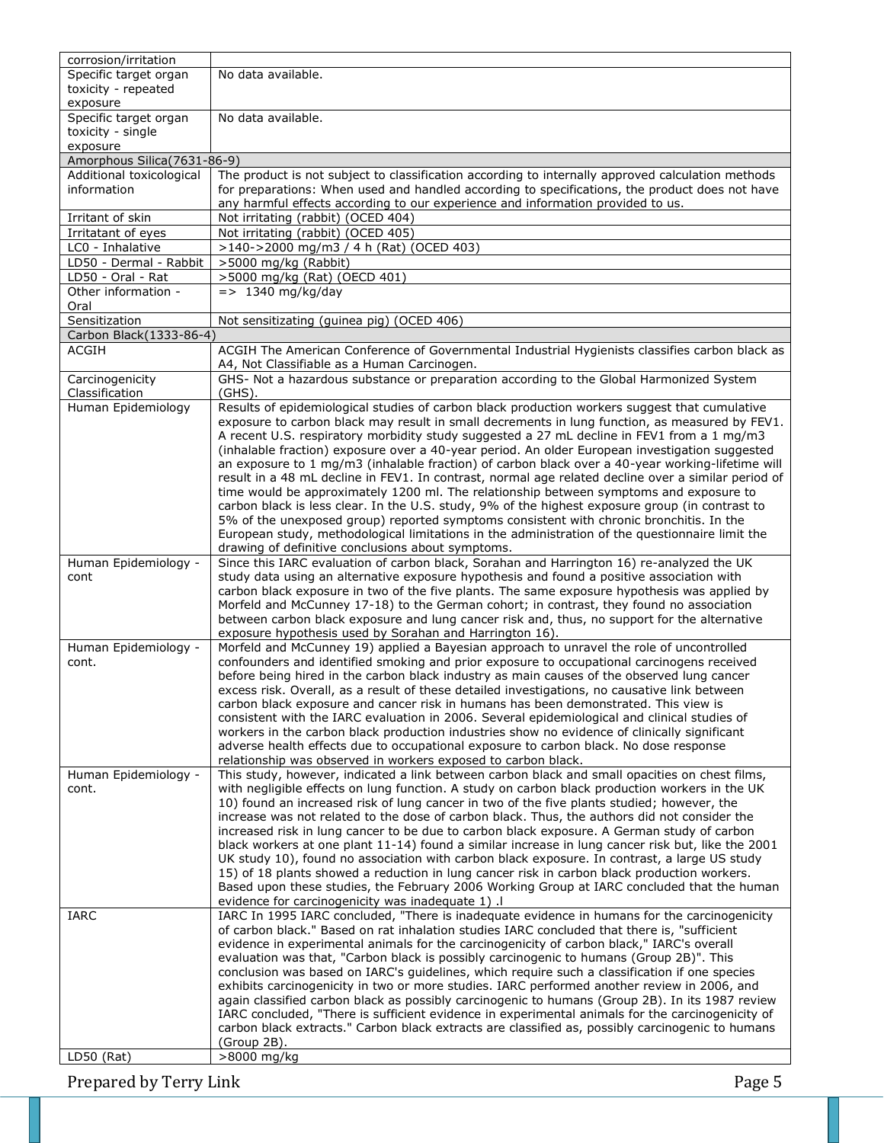| corrosion/irritation          |                                                                                                                                                                                            |
|-------------------------------|--------------------------------------------------------------------------------------------------------------------------------------------------------------------------------------------|
| Specific target organ         | No data available.                                                                                                                                                                         |
| toxicity - repeated           |                                                                                                                                                                                            |
| exposure                      |                                                                                                                                                                                            |
| Specific target organ         | No data available.                                                                                                                                                                         |
| toxicity - single<br>exposure |                                                                                                                                                                                            |
| Amorphous Silica(7631-86-9)   |                                                                                                                                                                                            |
| Additional toxicological      | The product is not subject to classification according to internally approved calculation methods                                                                                          |
| information                   | for preparations: When used and handled according to specifications, the product does not have                                                                                             |
|                               | any harmful effects according to our experience and information provided to us.                                                                                                            |
| Irritant of skin              | Not irritating (rabbit) (OCED 404)                                                                                                                                                         |
| Irritatant of eyes            | Not irritating (rabbit) (OCED 405)                                                                                                                                                         |
| LC0 - Inhalative              | >140->2000 mg/m3 / 4 h (Rat) (OCED 403)                                                                                                                                                    |
| LD50 - Dermal - Rabbit        | >5000 mg/kg (Rabbit)                                                                                                                                                                       |
| LD50 - Oral - Rat             | >5000 mg/kg (Rat) (OECD 401)                                                                                                                                                               |
| Other information -           | $=$ > 1340 mg/kg/day                                                                                                                                                                       |
| Oral                          |                                                                                                                                                                                            |
| Sensitization                 | Not sensitizating (guinea pig) (OCED 406)                                                                                                                                                  |
| Carbon Black (1333-86-4)      |                                                                                                                                                                                            |
| <b>ACGIH</b>                  | ACGIH The American Conference of Governmental Industrial Hygienists classifies carbon black as<br>A4, Not Classifiable as a Human Carcinogen.                                              |
| Carcinogenicity               | GHS- Not a hazardous substance or preparation according to the Global Harmonized System                                                                                                    |
| Classification                | $(GHS)$ .                                                                                                                                                                                  |
| Human Epidemiology            | Results of epidemiological studies of carbon black production workers suggest that cumulative                                                                                              |
|                               | exposure to carbon black may result in small decrements in lung function, as measured by FEV1.                                                                                             |
|                               | A recent U.S. respiratory morbidity study suggested a 27 mL decline in FEV1 from a 1 mg/m3                                                                                                 |
|                               | (inhalable fraction) exposure over a 40-year period. An older European investigation suggested                                                                                             |
|                               | an exposure to 1 mg/m3 (inhalable fraction) of carbon black over a 40-year working-lifetime will                                                                                           |
|                               | result in a 48 mL decline in FEV1. In contrast, normal age related decline over a similar period of                                                                                        |
|                               | time would be approximately 1200 ml. The relationship between symptoms and exposure to                                                                                                     |
|                               | carbon black is less clear. In the U.S. study, 9% of the highest exposure group (in contrast to<br>5% of the unexposed group) reported symptoms consistent with chronic bronchitis. In the |
|                               | European study, methodological limitations in the administration of the questionnaire limit the                                                                                            |
|                               | drawing of definitive conclusions about symptoms.                                                                                                                                          |
| Human Epidemiology -          | Since this IARC evaluation of carbon black, Sorahan and Harrington 16) re-analyzed the UK                                                                                                  |
| cont                          | study data using an alternative exposure hypothesis and found a positive association with                                                                                                  |
|                               | carbon black exposure in two of the five plants. The same exposure hypothesis was applied by                                                                                               |
|                               | Morfeld and McCunney 17-18) to the German cohort; in contrast, they found no association                                                                                                   |
|                               | between carbon black exposure and lung cancer risk and, thus, no support for the alternative                                                                                               |
|                               | exposure hypothesis used by Sorahan and Harrington 16).                                                                                                                                    |
| Human Epidemiology -          | Morfeld and McCunney 19) applied a Bayesian approach to unravel the role of uncontrolled                                                                                                   |
| cont.                         | confounders and identified smoking and prior exposure to occupational carcinogens received<br>before being hired in the carbon black industry as main causes of the observed lung cancer   |
|                               | excess risk. Overall, as a result of these detailed investigations, no causative link between                                                                                              |
|                               | carbon black exposure and cancer risk in humans has been demonstrated. This view is                                                                                                        |
|                               | consistent with the IARC evaluation in 2006. Several epidemiological and clinical studies of                                                                                               |
|                               | workers in the carbon black production industries show no evidence of clinically significant                                                                                               |
|                               | adverse health effects due to occupational exposure to carbon black. No dose response                                                                                                      |
|                               | relationship was observed in workers exposed to carbon black.                                                                                                                              |
| Human Epidemiology -          | This study, however, indicated a link between carbon black and small opacities on chest films,                                                                                             |
| cont.                         | with negligible effects on lung function. A study on carbon black production workers in the UK                                                                                             |
|                               | 10) found an increased risk of lung cancer in two of the five plants studied; however, the<br>increase was not related to the dose of carbon black. Thus, the authors did not consider the |
|                               | increased risk in lung cancer to be due to carbon black exposure. A German study of carbon                                                                                                 |
|                               | black workers at one plant 11-14) found a similar increase in lung cancer risk but, like the 2001                                                                                          |
|                               | UK study 10), found no association with carbon black exposure. In contrast, a large US study                                                                                               |
|                               | 15) of 18 plants showed a reduction in lung cancer risk in carbon black production workers.                                                                                                |
|                               | Based upon these studies, the February 2006 Working Group at IARC concluded that the human                                                                                                 |
|                               | evidence for carcinogenicity was inadequate 1) .                                                                                                                                           |
| IARC                          | IARC In 1995 IARC concluded, "There is inadequate evidence in humans for the carcinogenicity                                                                                               |
|                               | of carbon black." Based on rat inhalation studies IARC concluded that there is, "sufficient                                                                                                |
|                               | evidence in experimental animals for the carcinogenicity of carbon black," IARC's overall                                                                                                  |
|                               | evaluation was that, "Carbon black is possibly carcinogenic to humans (Group 2B)". This<br>conclusion was based on IARC's guidelines, which require such a classification if one species   |
|                               | exhibits carcinogenicity in two or more studies. IARC performed another review in 2006, and                                                                                                |
|                               | again classified carbon black as possibly carcinogenic to humans (Group 2B). In its 1987 review                                                                                            |
|                               | IARC concluded, "There is sufficient evidence in experimental animals for the carcinogenicity of                                                                                           |
|                               | carbon black extracts." Carbon black extracts are classified as, possibly carcinogenic to humans                                                                                           |
|                               | (Group 2B).                                                                                                                                                                                |
| $LD50$ (Rat)                  | >8000 mg/kg                                                                                                                                                                                |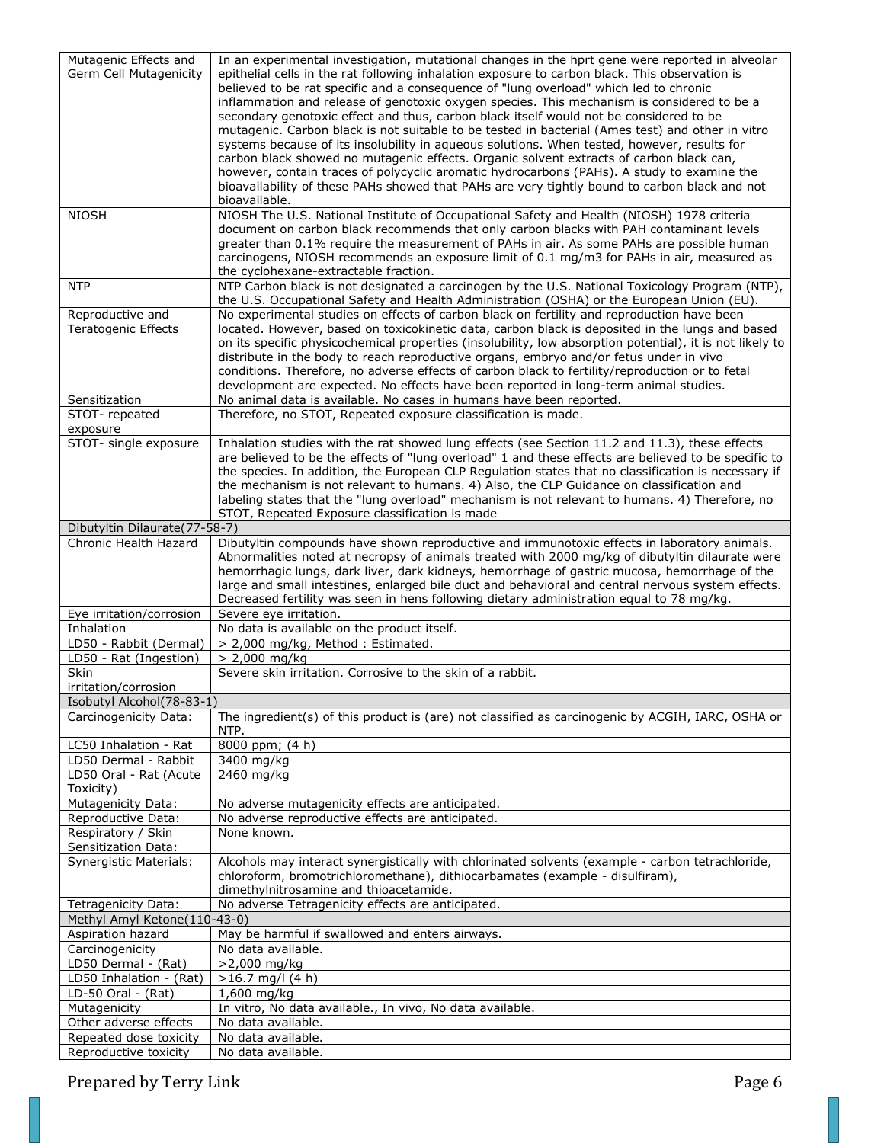| Mutagenic Effects and                           | In an experimental investigation, mutational changes in the hprt gene were reported in alveolar          |
|-------------------------------------------------|----------------------------------------------------------------------------------------------------------|
|                                                 |                                                                                                          |
| Germ Cell Mutagenicity                          | epithelial cells in the rat following inhalation exposure to carbon black. This observation is           |
|                                                 | believed to be rat specific and a consequence of "lung overload" which led to chronic                    |
|                                                 | inflammation and release of genotoxic oxygen species. This mechanism is considered to be a               |
|                                                 | secondary genotoxic effect and thus, carbon black itself would not be considered to be                   |
|                                                 | mutagenic. Carbon black is not suitable to be tested in bacterial (Ames test) and other in vitro         |
|                                                 | systems because of its insolubility in aqueous solutions. When tested, however, results for              |
|                                                 |                                                                                                          |
|                                                 | carbon black showed no mutagenic effects. Organic solvent extracts of carbon black can,                  |
|                                                 | however, contain traces of polycyclic aromatic hydrocarbons (PAHs). A study to examine the               |
|                                                 | bioavailability of these PAHs showed that PAHs are very tightly bound to carbon black and not            |
|                                                 | bioavailable.                                                                                            |
| <b>NIOSH</b>                                    | NIOSH The U.S. National Institute of Occupational Safety and Health (NIOSH) 1978 criteria                |
|                                                 | document on carbon black recommends that only carbon blacks with PAH contaminant levels                  |
|                                                 |                                                                                                          |
|                                                 | greater than 0.1% require the measurement of PAHs in air. As some PAHs are possible human                |
|                                                 | carcinogens, NIOSH recommends an exposure limit of 0.1 mg/m3 for PAHs in air, measured as                |
|                                                 | the cyclohexane-extractable fraction.                                                                    |
| <b>NTP</b>                                      | NTP Carbon black is not designated a carcinogen by the U.S. National Toxicology Program (NTP),           |
|                                                 | the U.S. Occupational Safety and Health Administration (OSHA) or the European Union (EU).                |
| Reproductive and                                | No experimental studies on effects of carbon black on fertility and reproduction have been               |
|                                                 |                                                                                                          |
| <b>Teratogenic Effects</b>                      | located. However, based on toxicokinetic data, carbon black is deposited in the lungs and based          |
|                                                 | on its specific physicochemical properties (insolubility, low absorption potential), it is not likely to |
|                                                 | distribute in the body to reach reproductive organs, embryo and/or fetus under in vivo                   |
|                                                 | conditions. Therefore, no adverse effects of carbon black to fertility/reproduction or to fetal          |
|                                                 | development are expected. No effects have been reported in long-term animal studies.                     |
|                                                 |                                                                                                          |
| Sensitization                                   | No animal data is available. No cases in humans have been reported.                                      |
| STOT-repeated                                   | Therefore, no STOT, Repeated exposure classification is made.                                            |
| exposure                                        |                                                                                                          |
| STOT- single exposure                           | Inhalation studies with the rat showed lung effects (see Section 11.2 and 11.3), these effects           |
|                                                 | are believed to be the effects of "lung overload" 1 and these effects are believed to be specific to     |
|                                                 |                                                                                                          |
|                                                 | the species. In addition, the European CLP Regulation states that no classification is necessary if      |
|                                                 | the mechanism is not relevant to humans. 4) Also, the CLP Guidance on classification and                 |
|                                                 | labeling states that the "lung overload" mechanism is not relevant to humans. 4) Therefore, no           |
|                                                 | STOT, Repeated Exposure classification is made                                                           |
| Dibutyltin Dilaurate(77-58-7)                   |                                                                                                          |
| Chronic Health Hazard                           | Dibutyltin compounds have shown reproductive and immunotoxic effects in laboratory animals.              |
|                                                 |                                                                                                          |
|                                                 | Abnormalities noted at necropsy of animals treated with 2000 mg/kg of dibutyltin dilaurate were          |
|                                                 | hemorrhagic lungs, dark liver, dark kidneys, hemorrhage of gastric mucosa, hemorrhage of the             |
|                                                 | large and small intestines, enlarged bile duct and behavioral and central nervous system effects.        |
|                                                 | Decreased fertility was seen in hens following dietary administration equal to 78 mg/kg.                 |
| Eye irritation/corrosion                        | Severe eye irritation.                                                                                   |
|                                                 |                                                                                                          |
| Inhalation                                      | No data is available on the product itself.                                                              |
| LD50 - Rabbit (Dermal)                          | > 2,000 mg/kg, Method: Estimated.                                                                        |
| LD50 - Rat (Ingestion)                          | $> 2,000$ mg/kg                                                                                          |
| Skin                                            | Severe skin irritation. Corrosive to the skin of a rabbit.                                               |
| irritation/corrosion                            |                                                                                                          |
|                                                 |                                                                                                          |
| Isobutyl Alcohol(78-83-1)                       |                                                                                                          |
| Carcinogenicity Data:                           | The ingredient(s) of this product is (are) not classified as carcinogenic by ACGIH, IARC, OSHA or        |
|                                                 | NTP.                                                                                                     |
| LC50 Inhalation - Rat                           | 8000 ppm; $(4 h)$                                                                                        |
| LD50 Dermal - Rabbit                            | 3400 mg/kg                                                                                               |
|                                                 |                                                                                                          |
| LD50 Oral - Rat (Acute                          | 2460 mg/kg                                                                                               |
| Toxicity)                                       |                                                                                                          |
| Mutagenicity Data:                              | No adverse mutagenicity effects are anticipated.                                                         |
| Reproductive Data:                              | No adverse reproductive effects are anticipated.                                                         |
| Respiratory / Skin                              | None known.                                                                                              |
|                                                 |                                                                                                          |
| Sensitization Data:                             |                                                                                                          |
| <b>Synergistic Materials:</b>                   | Alcohols may interact synergistically with chlorinated solvents (example - carbon tetrachloride,         |
|                                                 | chloroform, bromotrichloromethane), dithiocarbamates (example - disulfiram),                             |
|                                                 | dimethylnitrosamine and thioacetamide.                                                                   |
| Tetragenicity Data:                             | No adverse Tetragenicity effects are anticipated.                                                        |
|                                                 |                                                                                                          |
| Methyl Amyl Ketone(110-43-0)                    |                                                                                                          |
| Aspiration hazard                               | May be harmful if swallowed and enters airways.                                                          |
| Carcinogenicity                                 | No data available.                                                                                       |
| LD50 Dermal - (Rat)                             | >2,000 mg/kg                                                                                             |
| LD50 Inhalation - (Rat)                         | $>16.7$ mg/l (4 h)                                                                                       |
|                                                 |                                                                                                          |
| LD-50 Oral - (Rat)                              | 1,600 mg/kg                                                                                              |
| Mutagenicity                                    | In vitro, No data available., In vivo, No data available.                                                |
| Other adverse effects                           |                                                                                                          |
|                                                 | No data available.                                                                                       |
|                                                 |                                                                                                          |
| Repeated dose toxicity<br>Reproductive toxicity | No data available.<br>No data available.                                                                 |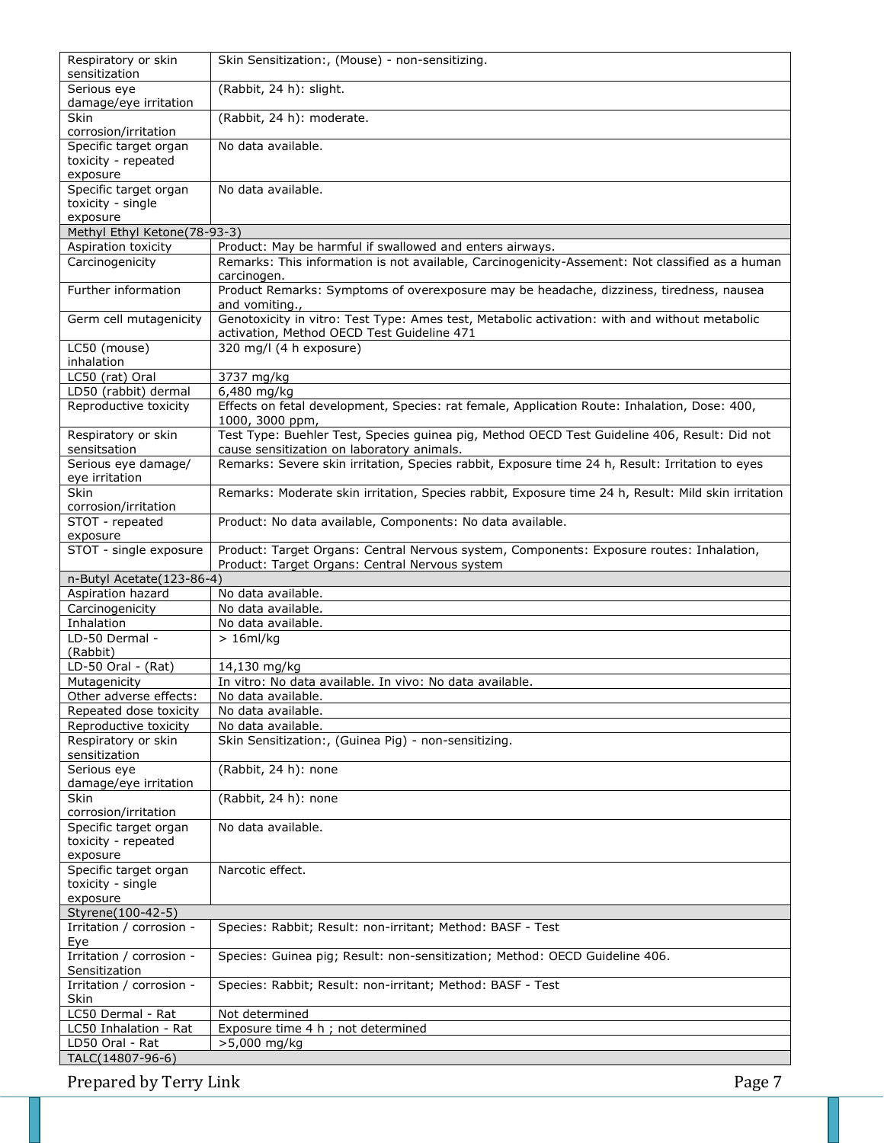| Respiratory or skin<br>sensitization       | Skin Sensitization:, (Mouse) - non-sensitizing.                                                                                             |
|--------------------------------------------|---------------------------------------------------------------------------------------------------------------------------------------------|
| Serious eye                                | (Rabbit, 24 h): slight.                                                                                                                     |
| damage/eye irritation                      |                                                                                                                                             |
| <b>Skin</b><br>corrosion/irritation        | (Rabbit, 24 h): moderate.                                                                                                                   |
| Specific target organ                      | No data available.                                                                                                                          |
| toxicity - repeated<br>exposure            |                                                                                                                                             |
| Specific target organ                      | No data available.                                                                                                                          |
| toxicity - single<br>exposure              |                                                                                                                                             |
| Methyl Ethyl Ketone(78-93-3)               |                                                                                                                                             |
| Aspiration toxicity                        | Product: May be harmful if swallowed and enters airways.                                                                                    |
| Carcinogenicity                            | Remarks: This information is not available, Carcinogenicity-Assement: Not classified as a human<br>carcinogen.                              |
| Further information                        | Product Remarks: Symptoms of overexposure may be headache, dizziness, tiredness, nausea<br>and vomiting.,                                   |
| Germ cell mutagenicity                     | Genotoxicity in vitro: Test Type: Ames test, Metabolic activation: with and without metabolic<br>activation, Method OECD Test Guideline 471 |
| LC50 (mouse)<br>inhalation                 | 320 mg/l (4 h exposure)                                                                                                                     |
| LC50 (rat) Oral                            | 3737 mg/kg                                                                                                                                  |
| LD50 (rabbit) dermal                       | 6,480 mg/kg                                                                                                                                 |
| Reproductive toxicity                      | Effects on fetal development, Species: rat female, Application Route: Inhalation, Dose: 400,<br>1000, 3000 ppm,                             |
| Respiratory or skin<br>sensitsation        | Test Type: Buehler Test, Species guinea pig, Method OECD Test Guideline 406, Result: Did not<br>cause sensitization on laboratory animals.  |
| Serious eye damage/<br>eye irritation      | Remarks: Severe skin irritation, Species rabbit, Exposure time 24 h, Result: Irritation to eyes                                             |
| Skin                                       | Remarks: Moderate skin irritation, Species rabbit, Exposure time 24 h, Result: Mild skin irritation                                         |
| corrosion/irritation                       |                                                                                                                                             |
| STOT - repeated<br>exposure                | Product: No data available, Components: No data available.                                                                                  |
| STOT - single exposure                     | Product: Target Organs: Central Nervous system, Components: Exposure routes: Inhalation,                                                    |
| n-Butyl Acetate(123-86-4)                  | Product: Target Organs: Central Nervous system                                                                                              |
| Aspiration hazard                          | No data available.                                                                                                                          |
| Carcinogenicity                            | No data available.                                                                                                                          |
| Inhalation                                 | No data available.                                                                                                                          |
| LD-50 Dermal -<br>(Rabbit)                 | $> 16$ ml/kg                                                                                                                                |
| LD-50 Oral - (Rat)                         | 14,130 mg/kg                                                                                                                                |
| Mutagenicity                               | In vitro: No data available. In vivo: No data available.                                                                                    |
| Other adverse effects:                     | No data available.                                                                                                                          |
| Repeated dose toxicity                     | No data available.                                                                                                                          |
| Reproductive toxicity                      | No data available.                                                                                                                          |
| Respiratory or skin<br>sensitization       | Skin Sensitization:, (Guinea Pig) - non-sensitizing.                                                                                        |
| Serious eye                                | (Rabbit, 24 h): none                                                                                                                        |
| damage/eye irritation<br>Skin              | (Rabbit, 24 h): none                                                                                                                        |
| corrosion/irritation                       |                                                                                                                                             |
| Specific target organ                      | No data available.                                                                                                                          |
| toxicity - repeated                        |                                                                                                                                             |
| exposure                                   |                                                                                                                                             |
| Specific target organ<br>toxicity - single |                                                                                                                                             |
|                                            | Narcotic effect.                                                                                                                            |
|                                            |                                                                                                                                             |
| exposure<br>Styrene(100-42-5)              |                                                                                                                                             |
| Irritation / corrosion -<br>Eye            | Species: Rabbit; Result: non-irritant; Method: BASF - Test                                                                                  |
| Irritation / corrosion -                   | Species: Guinea pig; Result: non-sensitization; Method: OECD Guideline 406.                                                                 |
| Sensitization<br>Irritation / corrosion -  | Species: Rabbit; Result: non-irritant; Method: BASF - Test                                                                                  |
| Skin<br>LC50 Dermal - Rat                  | Not determined                                                                                                                              |
| LC50 Inhalation - Rat                      | Exposure time 4 h ; not determined                                                                                                          |
| LD50 Oral - Rat<br>TALC(14807-96-6)        | >5,000 mg/kg                                                                                                                                |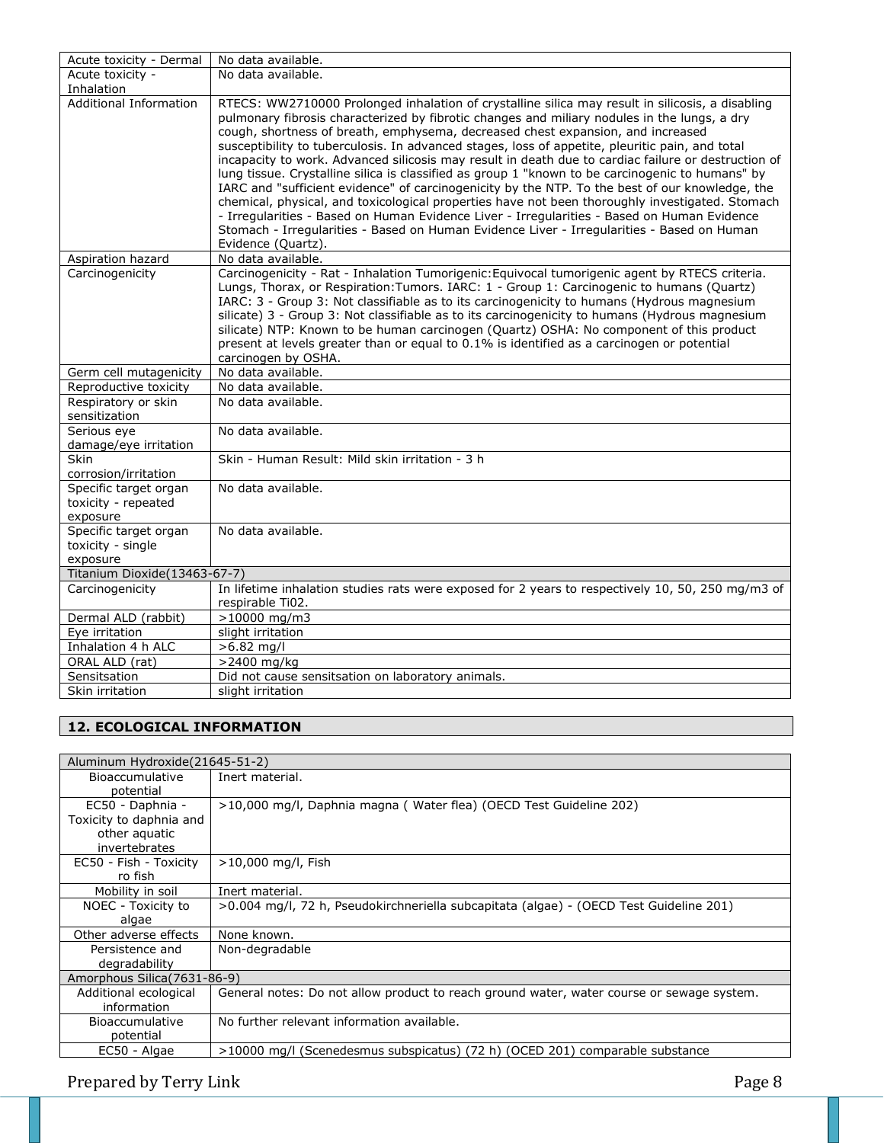| Acute toxicity - Dermal                                  | No data available.                                                                                                                                                                                                                                                                                                                                                                                                                                                                                                                                                                                                                                                                                                                                                                                                                                                                                                                                                                                                         |
|----------------------------------------------------------|----------------------------------------------------------------------------------------------------------------------------------------------------------------------------------------------------------------------------------------------------------------------------------------------------------------------------------------------------------------------------------------------------------------------------------------------------------------------------------------------------------------------------------------------------------------------------------------------------------------------------------------------------------------------------------------------------------------------------------------------------------------------------------------------------------------------------------------------------------------------------------------------------------------------------------------------------------------------------------------------------------------------------|
| Acute toxicity -                                         | No data available.                                                                                                                                                                                                                                                                                                                                                                                                                                                                                                                                                                                                                                                                                                                                                                                                                                                                                                                                                                                                         |
| Inhalation                                               |                                                                                                                                                                                                                                                                                                                                                                                                                                                                                                                                                                                                                                                                                                                                                                                                                                                                                                                                                                                                                            |
| Additional Information                                   | RTECS: WW2710000 Prolonged inhalation of crystalline silica may result in silicosis, a disabling<br>pulmonary fibrosis characterized by fibrotic changes and miliary nodules in the lungs, a dry<br>cough, shortness of breath, emphysema, decreased chest expansion, and increased<br>susceptibility to tuberculosis. In advanced stages, loss of appetite, pleuritic pain, and total<br>incapacity to work. Advanced silicosis may result in death due to cardiac failure or destruction of<br>lung tissue. Crystalline silica is classified as group 1 "known to be carcinogenic to humans" by<br>IARC and "sufficient evidence" of carcinogenicity by the NTP. To the best of our knowledge, the<br>chemical, physical, and toxicological properties have not been thoroughly investigated. Stomach<br>- Irregularities - Based on Human Evidence Liver - Irregularities - Based on Human Evidence<br>Stomach - Irregularities - Based on Human Evidence Liver - Irregularities - Based on Human<br>Evidence (Quartz). |
| Aspiration hazard                                        | No data available.                                                                                                                                                                                                                                                                                                                                                                                                                                                                                                                                                                                                                                                                                                                                                                                                                                                                                                                                                                                                         |
| Carcinogenicity                                          | Carcinogenicity - Rat - Inhalation Tumorigenic: Equivocal tumorigenic agent by RTECS criteria.<br>Lungs, Thorax, or Respiration: Tumors. IARC: 1 - Group 1: Carcinogenic to humans (Quartz)<br>IARC: 3 - Group 3: Not classifiable as to its carcinogenicity to humans (Hydrous magnesium<br>silicate) 3 - Group 3: Not classifiable as to its carcinogenicity to humans (Hydrous magnesium<br>silicate) NTP: Known to be human carcinogen (Quartz) OSHA: No component of this product<br>present at levels greater than or equal to 0.1% is identified as a carcinogen or potential<br>carcinogen by OSHA.                                                                                                                                                                                                                                                                                                                                                                                                                |
| Germ cell mutagenicity                                   | No data available.                                                                                                                                                                                                                                                                                                                                                                                                                                                                                                                                                                                                                                                                                                                                                                                                                                                                                                                                                                                                         |
| Reproductive toxicity                                    | No data available.                                                                                                                                                                                                                                                                                                                                                                                                                                                                                                                                                                                                                                                                                                                                                                                                                                                                                                                                                                                                         |
| Respiratory or skin<br>sensitization                     | No data available.                                                                                                                                                                                                                                                                                                                                                                                                                                                                                                                                                                                                                                                                                                                                                                                                                                                                                                                                                                                                         |
| Serious eye<br>damage/eye irritation                     | No data available.                                                                                                                                                                                                                                                                                                                                                                                                                                                                                                                                                                                                                                                                                                                                                                                                                                                                                                                                                                                                         |
| Skin<br>corrosion/irritation                             | Skin - Human Result: Mild skin irritation - 3 h                                                                                                                                                                                                                                                                                                                                                                                                                                                                                                                                                                                                                                                                                                                                                                                                                                                                                                                                                                            |
| Specific target organ<br>toxicity - repeated<br>exposure | No data available.                                                                                                                                                                                                                                                                                                                                                                                                                                                                                                                                                                                                                                                                                                                                                                                                                                                                                                                                                                                                         |
| Specific target organ<br>toxicity - single<br>exposure   | No data available.                                                                                                                                                                                                                                                                                                                                                                                                                                                                                                                                                                                                                                                                                                                                                                                                                                                                                                                                                                                                         |
| Titanium Dioxide(13463-67-7)                             |                                                                                                                                                                                                                                                                                                                                                                                                                                                                                                                                                                                                                                                                                                                                                                                                                                                                                                                                                                                                                            |
| Carcinogenicity                                          | In lifetime inhalation studies rats were exposed for 2 years to respectively 10, 50, 250 mg/m3 of<br>respirable Ti02.                                                                                                                                                                                                                                                                                                                                                                                                                                                                                                                                                                                                                                                                                                                                                                                                                                                                                                      |
| Dermal ALD (rabbit)                                      | $>10000$ mg/m3                                                                                                                                                                                                                                                                                                                                                                                                                                                                                                                                                                                                                                                                                                                                                                                                                                                                                                                                                                                                             |
| Eye irritation                                           | slight irritation                                                                                                                                                                                                                                                                                                                                                                                                                                                                                                                                                                                                                                                                                                                                                                                                                                                                                                                                                                                                          |
| Inhalation 4 h ALC                                       | $>6.82$ mg/l                                                                                                                                                                                                                                                                                                                                                                                                                                                                                                                                                                                                                                                                                                                                                                                                                                                                                                                                                                                                               |
| ORAL ALD (rat)                                           | >2400 mg/kg                                                                                                                                                                                                                                                                                                                                                                                                                                                                                                                                                                                                                                                                                                                                                                                                                                                                                                                                                                                                                |
| Sensitsation                                             |                                                                                                                                                                                                                                                                                                                                                                                                                                                                                                                                                                                                                                                                                                                                                                                                                                                                                                                                                                                                                            |
|                                                          | Did not cause sensitsation on laboratory animals.                                                                                                                                                                                                                                                                                                                                                                                                                                                                                                                                                                                                                                                                                                                                                                                                                                                                                                                                                                          |

# **12. ECOLOGICAL INFORMATION**

| Aluminum Hydroxide (21645-51-2) |                                                                                           |
|---------------------------------|-------------------------------------------------------------------------------------------|
| Bioaccumulative                 | Inert material.                                                                           |
| potential                       |                                                                                           |
| EC50 - Daphnia -                | >10,000 mg/l, Daphnia magna (Water flea) (OECD Test Guideline 202)                        |
| Toxicity to daphnia and         |                                                                                           |
| other aguatic                   |                                                                                           |
| invertebrates                   |                                                                                           |
| EC50 - Fish - Toxicity          | >10,000 mg/l, Fish                                                                        |
| ro fish                         |                                                                                           |
| Mobility in soil                | Inert material.                                                                           |
| NOEC - Toxicity to              | >0.004 mg/l, 72 h, Pseudokirchneriella subcapitata (algae) - (OECD Test Guideline 201)    |
| algae                           |                                                                                           |
| Other adverse effects           | None known.                                                                               |
| Persistence and                 | Non-degradable                                                                            |
| degradability                   |                                                                                           |
| Amorphous Silica(7631-86-9)     |                                                                                           |
| Additional ecological           | General notes: Do not allow product to reach ground water, water course or sewage system. |
| information                     |                                                                                           |
| <b>Bioaccumulative</b>          | No further relevant information available.                                                |
| potential                       |                                                                                           |
| EC50 - Algae                    | >10000 mg/l (Scenedesmus subspicatus) (72 h) (OCED 201) comparable substance              |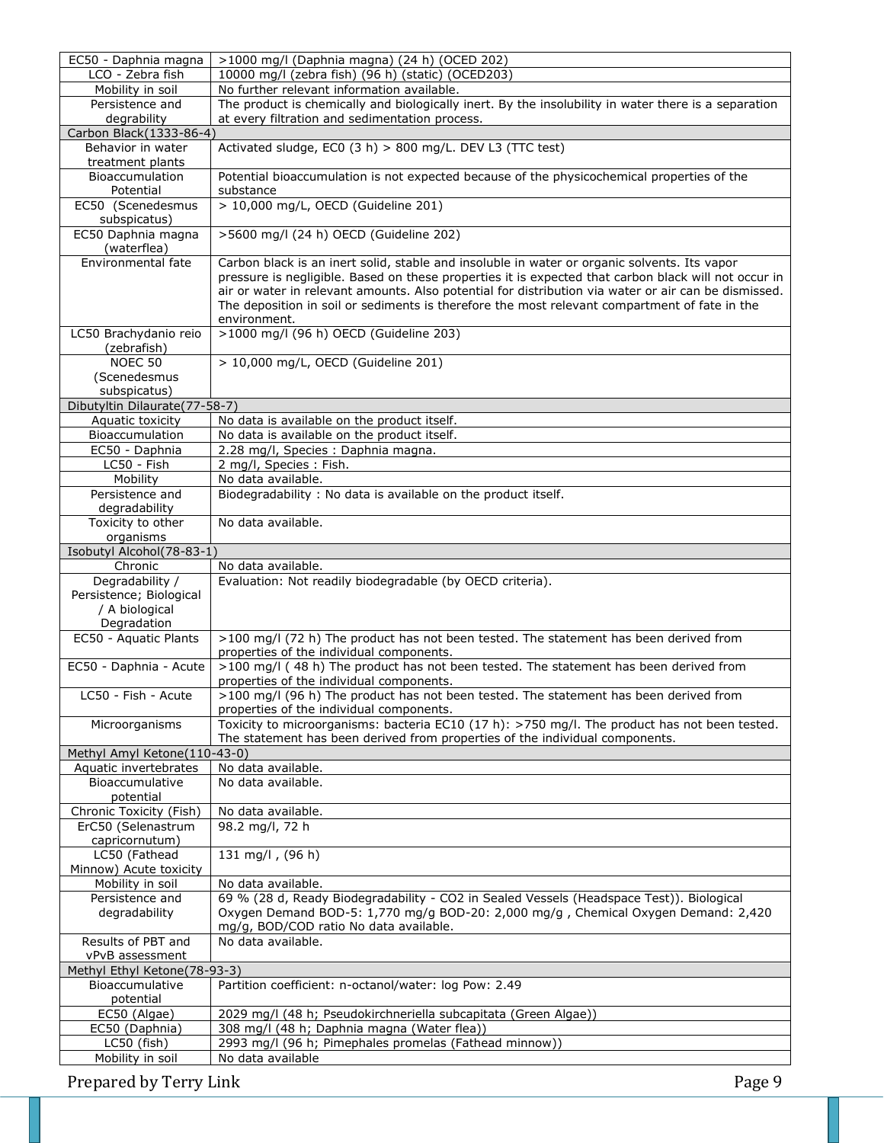| EC50 - Daphnia magna                            | >1000 mg/l (Daphnia magna) (24 h) (OCED 202)                                                                                                                                  |
|-------------------------------------------------|-------------------------------------------------------------------------------------------------------------------------------------------------------------------------------|
| LCO - Zebra fish                                | 10000 mg/l (zebra fish) (96 h) (static) (OCED203)                                                                                                                             |
| Mobility in soil                                | No further relevant information available.                                                                                                                                    |
| Persistence and                                 | The product is chemically and biologically inert. By the insolubility in water there is a separation                                                                          |
| degrability                                     | at every filtration and sedimentation process.                                                                                                                                |
| Carbon Black (1333-86-4)                        |                                                                                                                                                                               |
| Behavior in water                               | Activated sludge, EC0 (3 h) > 800 mg/L. DEV L3 (TTC test)                                                                                                                     |
| treatment plants                                |                                                                                                                                                                               |
| Bioaccumulation                                 | Potential bioaccumulation is not expected because of the physicochemical properties of the                                                                                    |
| Potential                                       | substance                                                                                                                                                                     |
| EC50 (Scenedesmus                               | > 10,000 mg/L, OECD (Guideline 201)                                                                                                                                           |
| subspicatus)                                    |                                                                                                                                                                               |
| EC50 Daphnia magna                              | >5600 mg/l (24 h) OECD (Guideline 202)                                                                                                                                        |
| (waterflea)                                     |                                                                                                                                                                               |
| Environmental fate                              | Carbon black is an inert solid, stable and insoluble in water or organic solvents. Its vapor                                                                                  |
|                                                 | pressure is negligible. Based on these properties it is expected that carbon black will not occur in                                                                          |
|                                                 | air or water in relevant amounts. Also potential for distribution via water or air can be dismissed.                                                                          |
|                                                 | The deposition in soil or sediments is therefore the most relevant compartment of fate in the                                                                                 |
|                                                 | environment.                                                                                                                                                                  |
| LC50 Brachydanio reio                           | >1000 mg/l (96 h) OECD (Guideline 203)                                                                                                                                        |
| (zebrafish)                                     |                                                                                                                                                                               |
| NOEC 50                                         | > 10,000 mg/L, OECD (Guideline 201)                                                                                                                                           |
| (Scenedesmus                                    |                                                                                                                                                                               |
| subspicatus)                                    |                                                                                                                                                                               |
| Dibutyltin Dilaurate(77-58-7)                   |                                                                                                                                                                               |
| Aquatic toxicity                                | No data is available on the product itself.                                                                                                                                   |
| Bioaccumulation                                 | No data is available on the product itself.                                                                                                                                   |
| EC50 - Daphnia                                  | 2.28 mg/l, Species : Daphnia magna.                                                                                                                                           |
| LC50 - Fish                                     | 2 mg/l, Species: Fish.                                                                                                                                                        |
| Mobility                                        | No data available.                                                                                                                                                            |
| Persistence and                                 | Biodegradability: No data is available on the product itself.                                                                                                                 |
| degradability                                   |                                                                                                                                                                               |
| Toxicity to other                               | No data available.                                                                                                                                                            |
| organisms                                       |                                                                                                                                                                               |
| Isobutyl Alcohol(78-83-1)                       |                                                                                                                                                                               |
|                                                 |                                                                                                                                                                               |
| Chronic                                         |                                                                                                                                                                               |
|                                                 | No data available.                                                                                                                                                            |
| Degradability /                                 | Evaluation: Not readily biodegradable (by OECD criteria).                                                                                                                     |
| Persistence; Biological                         |                                                                                                                                                                               |
| / A biological                                  |                                                                                                                                                                               |
| Degradation<br>EC50 - Aquatic Plants            |                                                                                                                                                                               |
|                                                 | >100 mg/l (72 h) The product has not been tested. The statement has been derived from                                                                                         |
|                                                 | properties of the individual components.                                                                                                                                      |
| EC50 - Daphnia - Acute                          | >100 mg/l (48 h) The product has not been tested. The statement has been derived from                                                                                         |
|                                                 | properties of the individual components.                                                                                                                                      |
| LC50 - Fish - Acute                             | >100 mg/l (96 h) The product has not been tested. The statement has been derived from                                                                                         |
|                                                 | properties of the individual components.                                                                                                                                      |
| Microorganisms                                  | Toxicity to microorganisms: bacteria EC10 (17 h): >750 mg/l. The product has not been tested.<br>The statement has been derived from properties of the individual components. |
|                                                 |                                                                                                                                                                               |
| Methyl Amyl Ketone(110-43-0)                    | No data available.                                                                                                                                                            |
| Aquatic invertebrates<br>Bioaccumulative        | No data available.                                                                                                                                                            |
|                                                 |                                                                                                                                                                               |
| potential                                       |                                                                                                                                                                               |
| Chronic Toxicity (Fish)                         | No data available.                                                                                                                                                            |
| ErC50 (Selenastrum                              | 98.2 mg/l, 72 h                                                                                                                                                               |
| capricornutum)                                  |                                                                                                                                                                               |
| LC50 (Fathead<br>Minnow) Acute toxicity         | 131 mg/l, $(96 h)$                                                                                                                                                            |
|                                                 | No data available.                                                                                                                                                            |
| Mobility in soil<br>Persistence and             | 69 % (28 d, Ready Biodegradability - CO2 in Sealed Vessels (Headspace Test)). Biological                                                                                      |
| degradability                                   | Oxygen Demand BOD-5: 1,770 mg/g BOD-20: 2,000 mg/g , Chemical Oxygen Demand: 2,420                                                                                            |
|                                                 |                                                                                                                                                                               |
| Results of PBT and                              | mg/g, BOD/COD ratio No data available.<br>No data available.                                                                                                                  |
| vPvB assessment                                 |                                                                                                                                                                               |
|                                                 |                                                                                                                                                                               |
| Methyl Ethyl Ketone(78-93-3)<br>Bioaccumulative | Partition coefficient: n-octanol/water: log Pow: 2.49                                                                                                                         |
|                                                 |                                                                                                                                                                               |
| potential<br>EC50 (Algae)                       | 2029 mg/l (48 h; Pseudokirchneriella subcapitata (Green Algae))                                                                                                               |
| EC50 (Daphnia)                                  | 308 mg/l (48 h; Daphnia magna (Water flea))                                                                                                                                   |
| LC50 (fish)                                     | 2993 mg/l (96 h; Pimephales promelas (Fathead minnow))                                                                                                                        |
| Mobility in soil                                | No data available                                                                                                                                                             |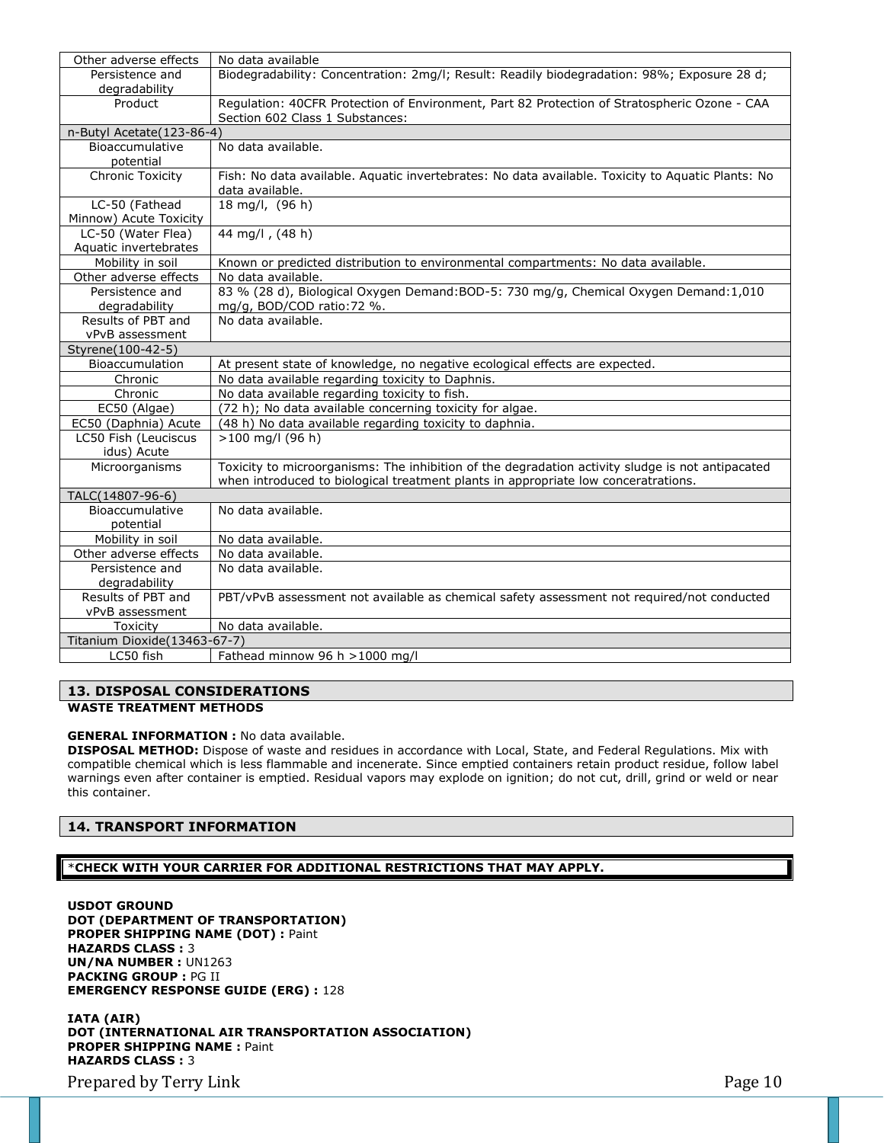| Other adverse effects        | No data available                                                                                 |
|------------------------------|---------------------------------------------------------------------------------------------------|
| Persistence and              | Biodegradability: Concentration: 2mg/l; Result: Readily biodegradation: 98%; Exposure 28 d;       |
| degradability                |                                                                                                   |
| Product                      | Regulation: 40CFR Protection of Environment, Part 82 Protection of Stratospheric Ozone - CAA      |
|                              | Section 602 Class 1 Substances:                                                                   |
| n-Butyl Acetate(123-86-4)    |                                                                                                   |
| Bioaccumulative              | No data available.                                                                                |
| potential                    |                                                                                                   |
| <b>Chronic Toxicity</b>      | Fish: No data available. Aquatic invertebrates: No data available. Toxicity to Aquatic Plants: No |
|                              | data available.                                                                                   |
| LC-50 (Fathead               | 18 mg/l, (96 h)                                                                                   |
| Minnow) Acute Toxicity       |                                                                                                   |
| LC-50 (Water Flea)           | 44 mg/l, (48 h)                                                                                   |
| Aquatic invertebrates        |                                                                                                   |
| Mobility in soil             | Known or predicted distribution to environmental compartments: No data available.                 |
| Other adverse effects        | No data available.                                                                                |
| Persistence and              | 83 % (28 d), Biological Oxygen Demand: BOD-5: 730 mg/g, Chemical Oxygen Demand: 1,010             |
| degradability                | mg/g, BOD/COD ratio: 72 %.                                                                        |
| Results of PBT and           | No data available.                                                                                |
| vPvB assessment              |                                                                                                   |
| Styrene(100-42-5)            |                                                                                                   |
| Bioaccumulation              | At present state of knowledge, no negative ecological effects are expected.                       |
| Chronic                      | No data available regarding toxicity to Daphnis.                                                  |
| Chronic                      | No data available regarding toxicity to fish.                                                     |
| EC50 (Algae)                 | (72 h); No data available concerning toxicity for algae.                                          |
| EC50 (Daphnia) Acute         | (48 h) No data available regarding toxicity to daphnia.                                           |
| LC50 Fish (Leuciscus         | $>100$ mg/l (96 h)                                                                                |
| idus) Acute                  |                                                                                                   |
| Microorganisms               | Toxicity to microorganisms: The inhibition of the degradation activity sludge is not antipacated  |
|                              | when introduced to biological treatment plants in appropriate low conceratrations.                |
| TALC(14807-96-6)             |                                                                                                   |
| Bioaccumulative              | No data available.                                                                                |
| potential                    |                                                                                                   |
| Mobility in soil             | No data available.                                                                                |
| Other adverse effects        | No data available.                                                                                |
| Persistence and              | No data available.                                                                                |
| degradability                |                                                                                                   |
| Results of PBT and           | PBT/vPvB assessment not available as chemical safety assessment not required/not conducted        |
| vPvB assessment              |                                                                                                   |
| Toxicity                     | No data available.                                                                                |
| Titanium Dioxide(13463-67-7) |                                                                                                   |
| LC50 fish                    | Fathead minnow 96 h > 1000 mg/l                                                                   |

# **13. DISPOSAL CONSIDERATIONS**

**WASTE TREATMENT METHODS**

### **GENERAL INFORMATION :** No data available.

**DISPOSAL METHOD:** Dispose of waste and residues in accordance with Local, State, and Federal Regulations. Mix with compatible chemical which is less flammable and incenerate. Since emptied containers retain product residue, follow label warnings even after container is emptied. Residual vapors may explode on ignition; do not cut, drill, grind or weld or near this container.

### **14. TRANSPORT INFORMATION**

### \***CHECK WITH YOUR CARRIER FOR ADDITIONAL RESTRICTIONS THAT MAY APPLY.**

**USDOT GROUND DOT (DEPARTMENT OF TRANSPORTATION) PROPER SHIPPING NAME (DOT) :** Paint **HAZARDS CLASS :** 3 **UN/NA NUMBER :** UN1263 **PACKING GROUP :** PG II **EMERGENCY RESPONSE GUIDE (ERG) :** 128

**IATA (AIR) DOT (INTERNATIONAL AIR TRANSPORTATION ASSOCIATION) PROPER SHIPPING NAME :** Paint **HAZARDS CLASS :** 3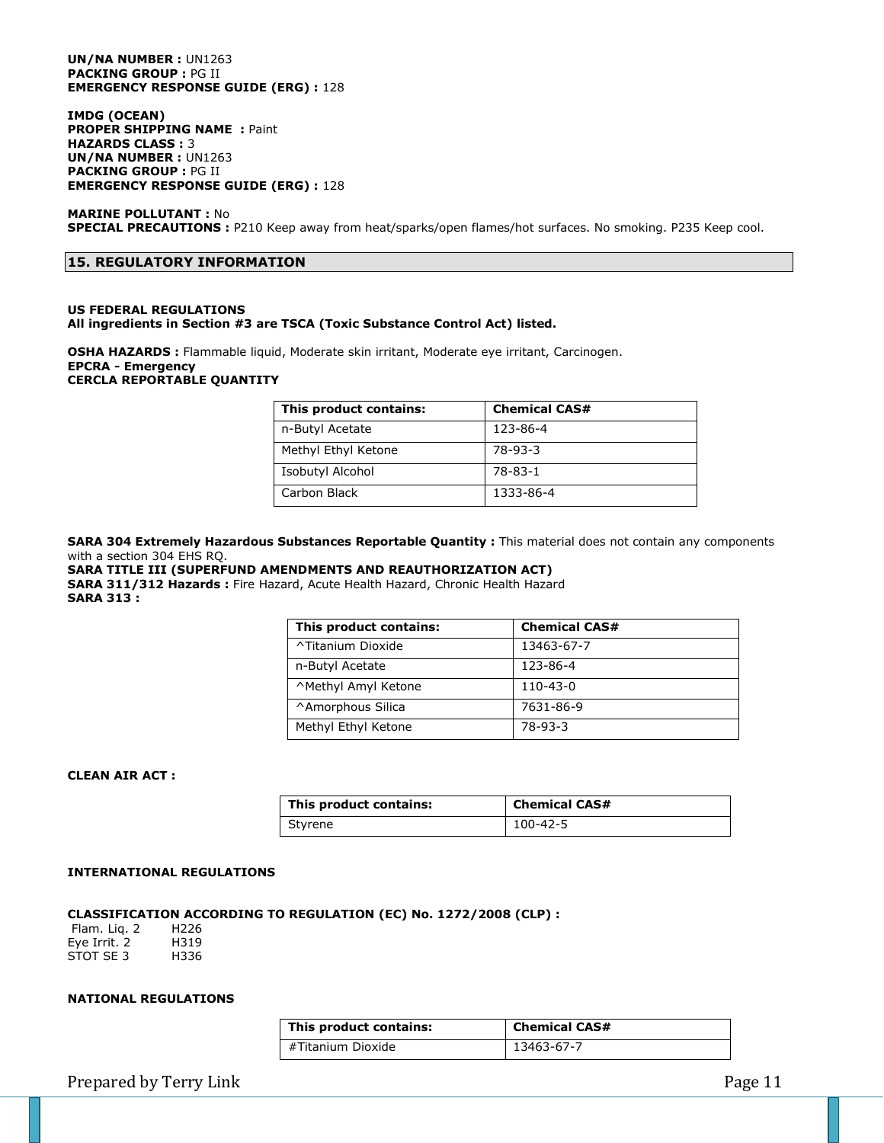#### **UN/NA NUMBER :** UN1263 **PACKING GROUP :** PG II **EMERGENCY RESPONSE GUIDE (ERG) :** 128

**IMDG (OCEAN) PROPER SHIPPING NAME :** Paint **HAZARDS CLASS :** 3 **UN/NA NUMBER :** UN1263 **PACKING GROUP :** PG II **EMERGENCY RESPONSE GUIDE (ERG) :** 128

### **MARINE POLLUTANT :** No **SPECIAL PRECAUTIONS :** P210 Keep away from heat/sparks/open flames/hot surfaces. No smoking. P235 Keep cool.

### **15. REGULATORY INFORMATION**

### **US FEDERAL REGULATIONS All ingredients in Section #3 are TSCA (Toxic Substance Control Act) listed.**

**OSHA HAZARDS :** Flammable liquid, Moderate skin irritant, Moderate eye irritant, Carcinogen. **EPCRA - Emergency CERCLA REPORTABLE QUANTITY**

| This product contains: | <b>Chemical CAS#</b> |
|------------------------|----------------------|
| n-Butyl Acetate        | 123-86-4             |
| Methyl Ethyl Ketone    | 78-93-3              |
| Isobutyl Alcohol       | 78-83-1              |
| Carbon Black           | 1333-86-4            |

**SARA 304 Extremely Hazardous Substances Reportable Quantity :** This material does not contain any components with a section 304 EHS RQ.

### **SARA TITLE III (SUPERFUND AMENDMENTS AND REAUTHORIZATION ACT)**

**SARA 311/312 Hazards :** Fire Hazard, Acute Health Hazard, Chronic Health Hazard **SARA 313 :**

| This product contains: | <b>Chemical CAS#</b> |
|------------------------|----------------------|
| ^Titanium Dioxide      | 13463-67-7           |
| n-Butyl Acetate        | 123-86-4             |
| ^Methyl Amyl Ketone    | $110 - 43 - 0$       |
| ^Amorphous Silica      | 7631-86-9            |
| Methyl Ethyl Ketone    | 78-93-3              |

### **CLEAN AIR ACT :**

| This product contains: | <b>Chemical CAS#</b> |
|------------------------|----------------------|
| Styrene                | 100-42-5             |

#### **INTERNATIONAL REGULATIONS**

# **CLASSIFICATION ACCORDING TO REGULATION (EC) No. 1272/2008 (CLP) :**

Flam. Liq. 2 H226 Eye Irrit. 2 H319 STOT SE 3 H336

# **NATIONAL REGULATIONS**

| This product contains: | <b>Chemical CAS#</b> |
|------------------------|----------------------|
| #Titanium Dioxide      | 13463-67-7           |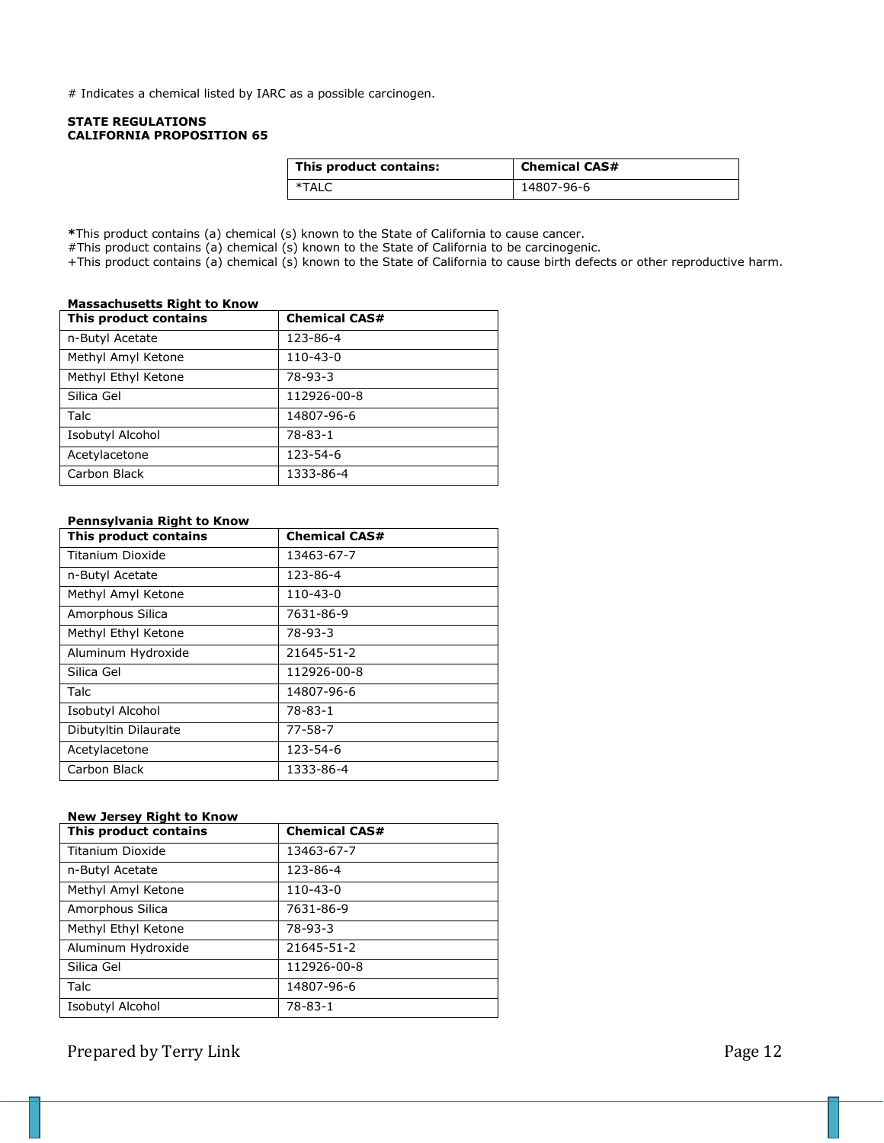# Indicates a chemical listed by IARC as a possible carcinogen.

### **STATE REGULATIONS CALIFORNIA PROPOSITION 65**

| This product contains: | <b>Chemical CAS#</b> |
|------------------------|----------------------|
| *TALC                  | 14807-96-6           |

**\***This product contains (a) chemical (s) known to the State of California to cause cancer.

#This product contains (a) chemical (s) known to the State of California to be carcinogenic.

+This product contains (a) chemical (s) known to the State of California to cause birth defects or other reproductive harm.

### **Massachusetts Right to Know**

| This product contains | <b>Chemical CAS#</b> |
|-----------------------|----------------------|
| n-Butyl Acetate       | 123-86-4             |
| Methyl Amyl Ketone    | $110 - 43 - 0$       |
| Methyl Ethyl Ketone   | $78-93-3$            |
| Silica Gel            | 112926-00-8          |
| <b>Talc</b>           | 14807-96-6           |
| Isobutyl Alcohol      | $78 - 83 - 1$        |
| Acetylacetone         | 123-54-6             |
| Carbon Black          | 1333-86-4            |

### **Pennsylvania Right to Know**

| This product contains   | <b>Chemical CAS#</b> |
|-------------------------|----------------------|
| Titanium Dioxide        | 13463-67-7           |
| n-Butyl Acetate         | 123-86-4             |
| Methyl Amyl Ketone      | $110 - 43 - 0$       |
| Amorphous Silica        | 7631-86-9            |
| Methyl Ethyl Ketone     | $78-93-3$            |
| Aluminum Hydroxide      | 21645-51-2           |
| Silica Gel              | 112926-00-8          |
| Talc                    | 14807-96-6           |
| <b>Isobutyl Alcohol</b> | 78-83-1              |
| Dibutyltin Dilaurate    | $77 - 58 - 7$        |
| Acetylacetone           | 123-54-6             |
| Carbon Black            | 1333-86-4            |

### **New Jersey Right to Know**

| This product contains | <b>Chemical CAS#</b> |
|-----------------------|----------------------|
| Titanium Dioxide      | 13463-67-7           |
| n-Butyl Acetate       | 123-86-4             |
| Methyl Amyl Ketone    | $110 - 43 - 0$       |
| Amorphous Silica      | 7631-86-9            |
| Methyl Ethyl Ketone   | 78-93-3              |
| Aluminum Hydroxide    | 21645-51-2           |
| Silica Gel            | 112926-00-8          |
| <b>Talc</b>           | 14807-96-6           |
| Isobutyl Alcohol      | $78 - 83 - 1$        |